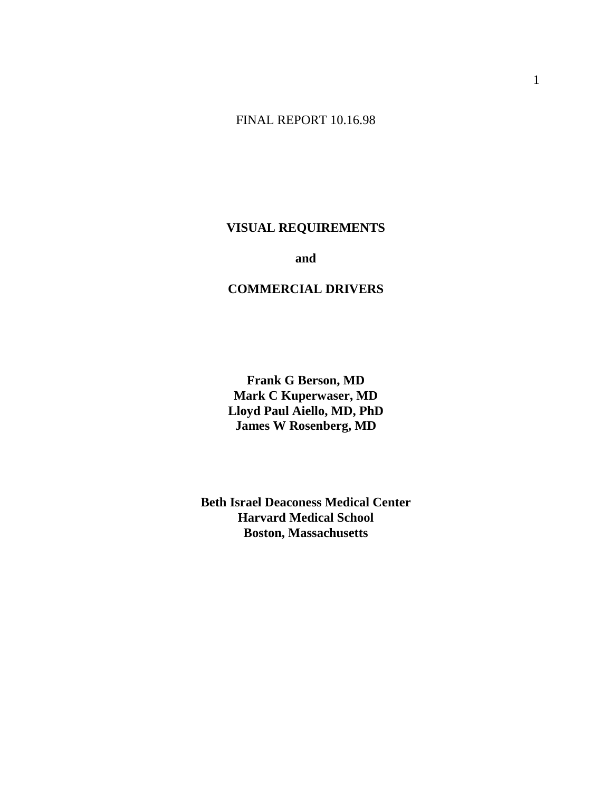# FINAL REPORT 10.16.98

# **VISUAL REQUIREMENTS**

**and and and** 

## **COMMERCIAL DRIVERS**

 **Frank G Berson, MD Mark C Kuperwaser, MD Lloyd Paul Aiello, MD, PhD James W Rosenberg, MD** 

 **Beth Israel Deaconess Medical Center Harvard Medical School Boston, Massachusetts**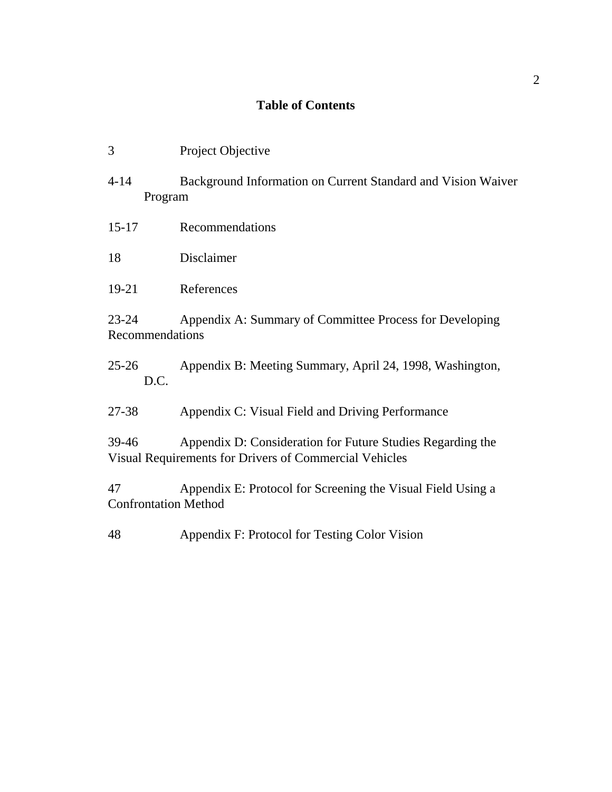# **Table of Contents**

| 3                                 | Project Objective                                                                                                    |
|-----------------------------------|----------------------------------------------------------------------------------------------------------------------|
| $4 - 14$<br>Program               | Background Information on Current Standard and Vision Waiver                                                         |
| $15 - 17$                         | Recommendations                                                                                                      |
| 18                                | Disclaimer                                                                                                           |
| 19-21                             | References                                                                                                           |
| $23 - 24$<br>Recommendations      | Appendix A: Summary of Committee Process for Developing                                                              |
| $25 - 26$<br>D.C.                 | Appendix B: Meeting Summary, April 24, 1998, Washington,                                                             |
| 27-38                             | Appendix C: Visual Field and Driving Performance                                                                     |
| 39-46                             | Appendix D: Consideration for Future Studies Regarding the<br>Visual Requirements for Drivers of Commercial Vehicles |
| 47<br><b>Confrontation Method</b> | Appendix E: Protocol for Screening the Visual Field Using a                                                          |
| 48                                | Appendix F: Protocol for Testing Color Vision                                                                        |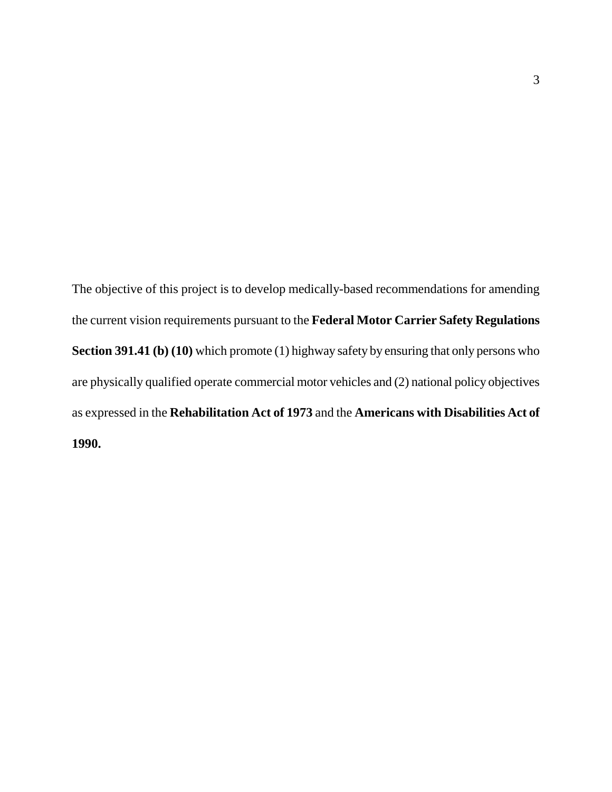The objective of this project is to develop medically-based recommendations for amending the current vision requirements pursuant to the **Federal Motor Carrier Safety Regulations Section 391.41 (b) (10)** which promote (1) highway safety by ensuring that only persons who are physically qualified operate commercial motor vehicles and (2) national policy objectives as expressed in the **Rehabilitation Act of 1973** and the **Americans with Disabilities Act of 1990.**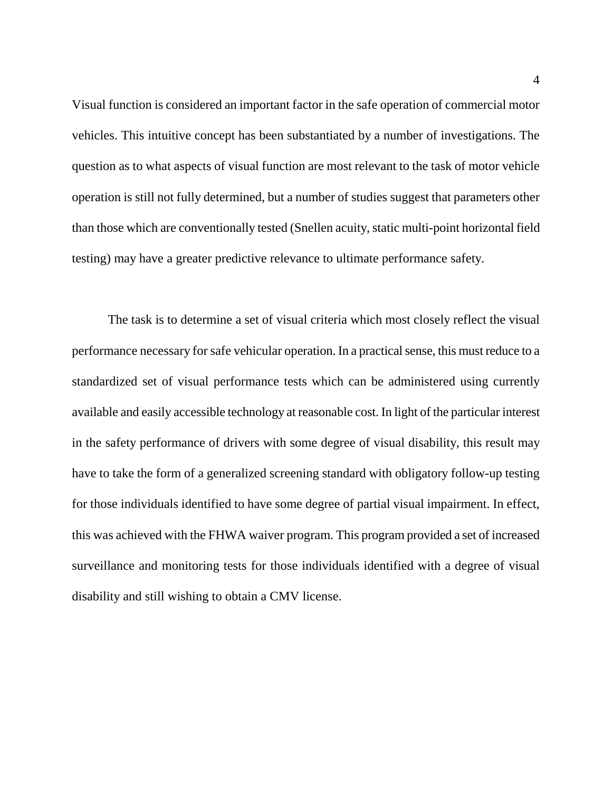Visual function is considered an important factor in the safe operation of commercial motor vehicles. This intuitive concept has been substantiated by a number of investigations. The question as to what aspects of visual function are most relevant to the task of motor vehicle operation is still not fully determined, but a number of studies suggest that parameters other than those which are conventionally tested (Snellen acuity, static multi-point horizontal field testing) may have a greater predictive relevance to ultimate performance safety.

The task is to determine a set of visual criteria which most closely reflect the visual performance necessary for safe vehicular operation. In a practical sense, this must reduce to a standardized set of visual performance tests which can be administered using currently available and easily accessible technology at reasonable cost. In light of the particular interest in the safety performance of drivers with some degree of visual disability, this result may have to take the form of a generalized screening standard with obligatory follow-up testing for those individuals identified to have some degree of partial visual impairment. In effect, this was achieved with the FHWA waiver program. This program provided a set of increased surveillance and monitoring tests for those individuals identified with a degree of visual disability and still wishing to obtain a CMV license.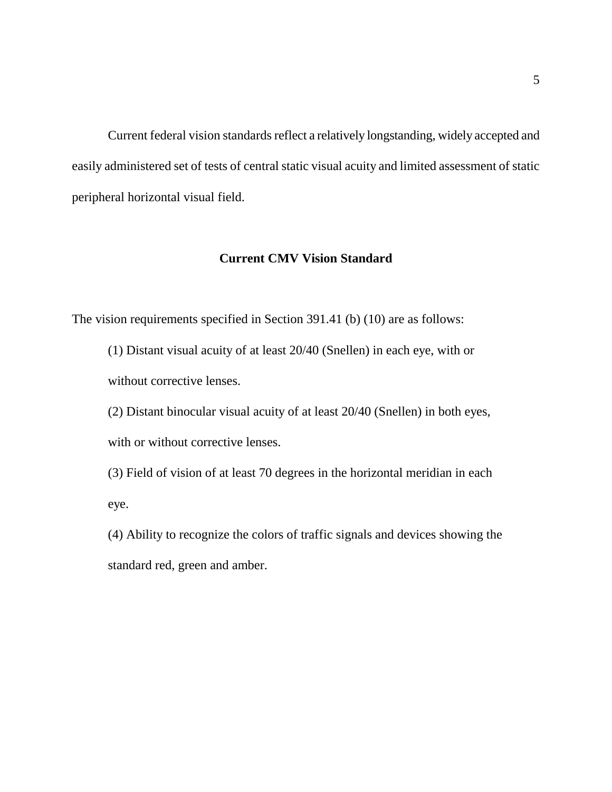Current federal vision standards reflect a relatively longstanding, widely accepted and easily administered set of tests of central static visual acuity and limited assessment of static peripheral horizontal visual field.

## **Current CMV Vision Standard**

The vision requirements specified in Section 391.41 (b) (10) are as follows:

(1) Distant visual acuity of at least 20/40 (Snellen) in each eye, with or without corrective lenses.

(2) Distant binocular visual acuity of at least 20/40 (Snellen) in both eyes, with or without corrective lenses.

(3) Field of vision of at least 70 degrees in the horizontal meridian in each eye.

(4) Ability to recognize the colors of traffic signals and devices showing the standard red, green and amber.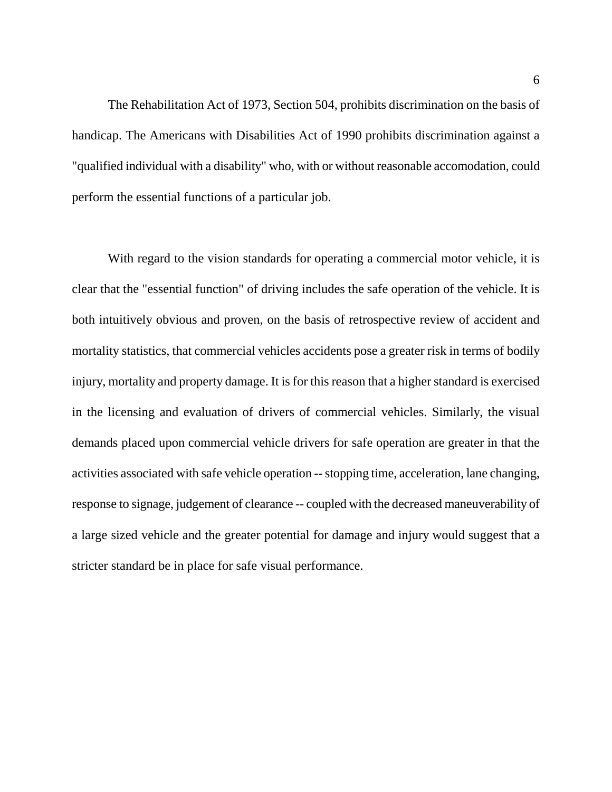The Rehabilitation Act of 1973, Section 504, prohibits discrimination on the basis of handicap. The Americans with Disabilities Act of 1990 prohibits discrimination against a "qualified individual with a disability" who, with or without reasonable accomodation, could perform the essential functions of a particular job.

With regard to the vision standards for operating a commercial motor vehicle, it is clear that the "essential function" of driving includes the safe operation of the vehicle. It is both intuitively obvious and proven, on the basis of retrospective review of accident and mortality statistics, that commercial vehicles accidents pose a greater risk in terms of bodily injury, mortality and property damage. It is for this reason that a higher standard is exercised in the licensing and evaluation of drivers of commercial vehicles. Similarly, the visual demands placed upon commercial vehicle drivers for safe operation are greater in that the activities associated with safe vehicle operation -- stopping time, acceleration, lane changing, response to signage, judgement of clearance -- coupled with the decreased maneuverability of a large sized vehicle and the greater potential for damage and injury would suggest that a stricter standard be in place for safe visual performance.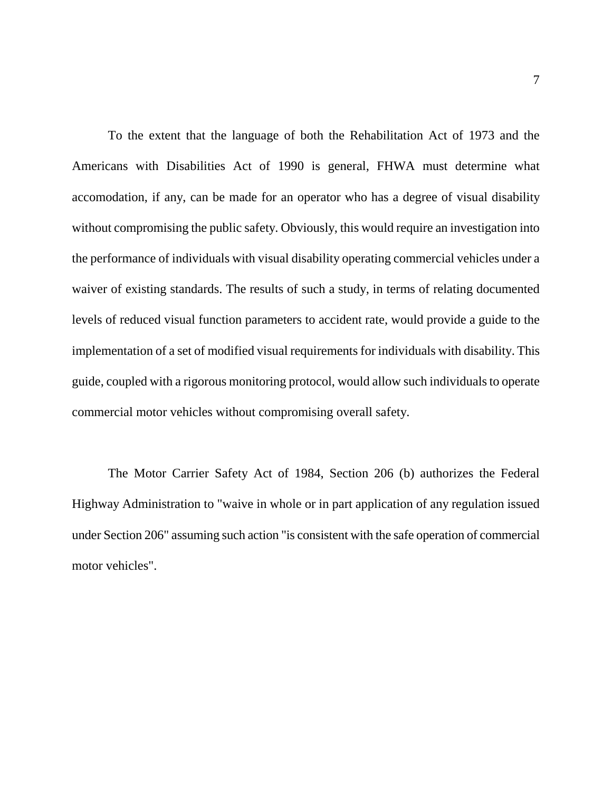To the extent that the language of both the Rehabilitation Act of 1973 and the Americans with Disabilities Act of 1990 is general, FHWA must determine what accomodation, if any, can be made for an operator who has a degree of visual disability without compromising the public safety. Obviously, this would require an investigation into the performance of individuals with visual disability operating commercial vehicles under a waiver of existing standards. The results of such a study, in terms of relating documented levels of reduced visual function parameters to accident rate, would provide a guide to the implementation of a set of modified visual requirements for individuals with disability. This guide, coupled with a rigorous monitoring protocol, would allow such individuals to operate commercial motor vehicles without compromising overall safety.

The Motor Carrier Safety Act of 1984, Section 206 (b) authorizes the Federal Highway Administration to "waive in whole or in part application of any regulation issued under Section 206" assuming such action "is consistent with the safe operation of commercial motor vehicles".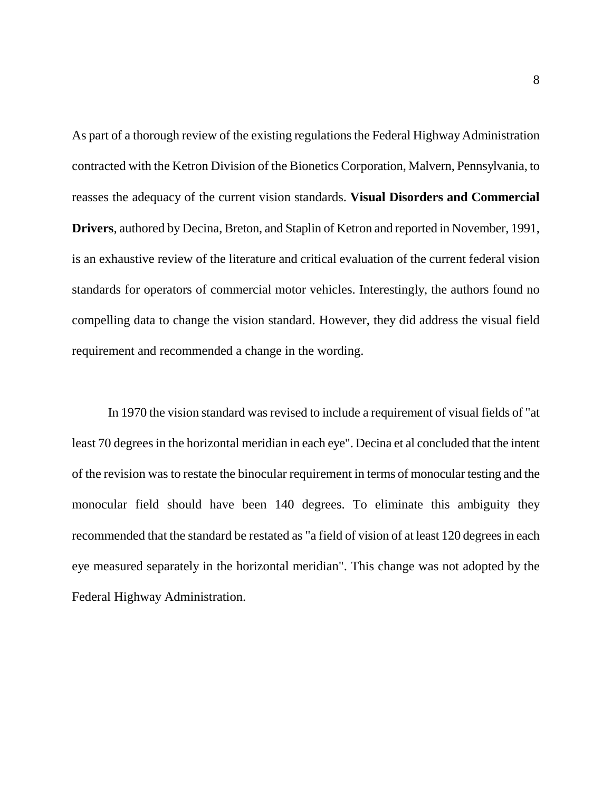As part of a thorough review of the existing regulations the Federal Highway Administration contracted with the Ketron Division of the Bionetics Corporation, Malvern, Pennsylvania, to reasses the adequacy of the current vision standards. **Visual Disorders and Commercial Drivers**, authored by Decina, Breton, and Staplin of Ketron and reported in November, 1991, is an exhaustive review of the literature and critical evaluation of the current federal vision standards for operators of commercial motor vehicles. Interestingly, the authors found no compelling data to change the vision standard. However, they did address the visual field requirement and recommended a change in the wording.

In 1970 the vision standard was revised to include a requirement of visual fields of "at least 70 degrees in the horizontal meridian in each eye". Decina et al concluded that the intent of the revision was to restate the binocular requirement in terms of monocular testing and the monocular field should have been 140 degrees. To eliminate this ambiguity they recommended that the standard be restated as "a field of vision of at least 120 degrees in each eye measured separately in the horizontal meridian". This change was not adopted by the Federal Highway Administration.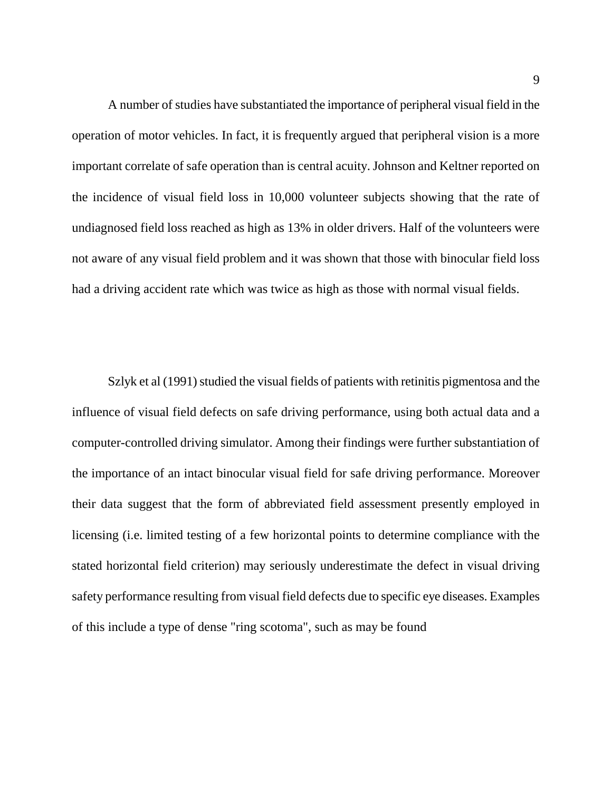A number of studies have substantiated the importance of peripheral visual field in the operation of motor vehicles. In fact, it is frequently argued that peripheral vision is a more important correlate of safe operation than is central acuity. Johnson and Keltner reported on the incidence of visual field loss in 10,000 volunteer subjects showing that the rate of undiagnosed field loss reached as high as 13% in older drivers. Half of the volunteers were not aware of any visual field problem and it was shown that those with binocular field loss had a driving accident rate which was twice as high as those with normal visual fields.

Szlyk et al (1991) studied the visual fields of patients with retinitis pigmentosa and the influence of visual field defects on safe driving performance, using both actual data and a computer-controlled driving simulator. Among their findings were further substantiation of the importance of an intact binocular visual field for safe driving performance. Moreover their data suggest that the form of abbreviated field assessment presently employed in licensing (i.e. limited testing of a few horizontal points to determine compliance with the stated horizontal field criterion) may seriously underestimate the defect in visual driving safety performance resulting from visual field defects due to specific eye diseases. Examples of this include a type of dense "ring scotoma", such as may be found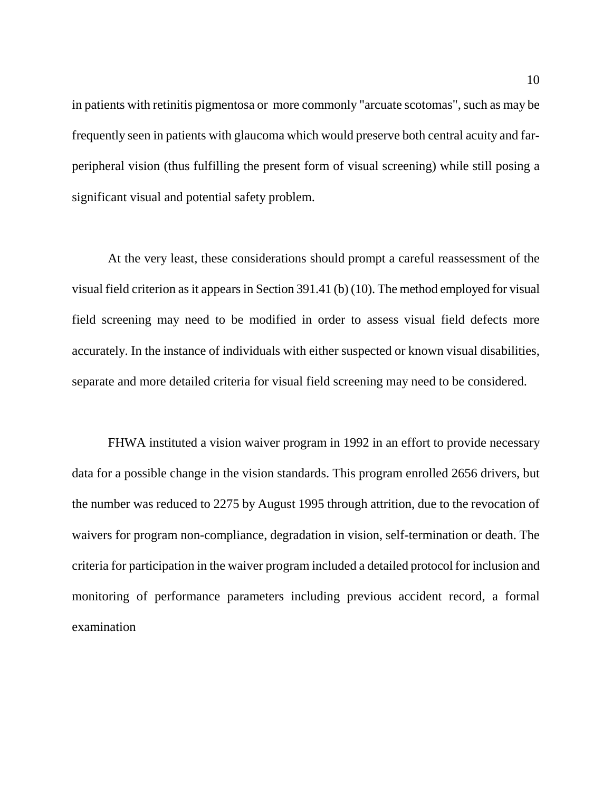in patients with retinitis pigmentosa or more commonly "arcuate scotomas", such as may be frequently seen in patients with glaucoma which would preserve both central acuity and farperipheral vision (thus fulfilling the present form of visual screening) while still posing a significant visual and potential safety problem.

At the very least, these considerations should prompt a careful reassessment of the visual field criterion as it appears in Section 391.41 (b) (10). The method employed for visual field screening may need to be modified in order to assess visual field defects more accurately. In the instance of individuals with either suspected or known visual disabilities, separate and more detailed criteria for visual field screening may need to be considered.

FHWA instituted a vision waiver program in 1992 in an effort to provide necessary data for a possible change in the vision standards. This program enrolled 2656 drivers, but the number was reduced to 2275 by August 1995 through attrition, due to the revocation of waivers for program non-compliance, degradation in vision, self-termination or death. The criteria for participation in the waiver program included a detailed protocol for inclusion and monitoring of performance parameters including previous accident record, a formal examination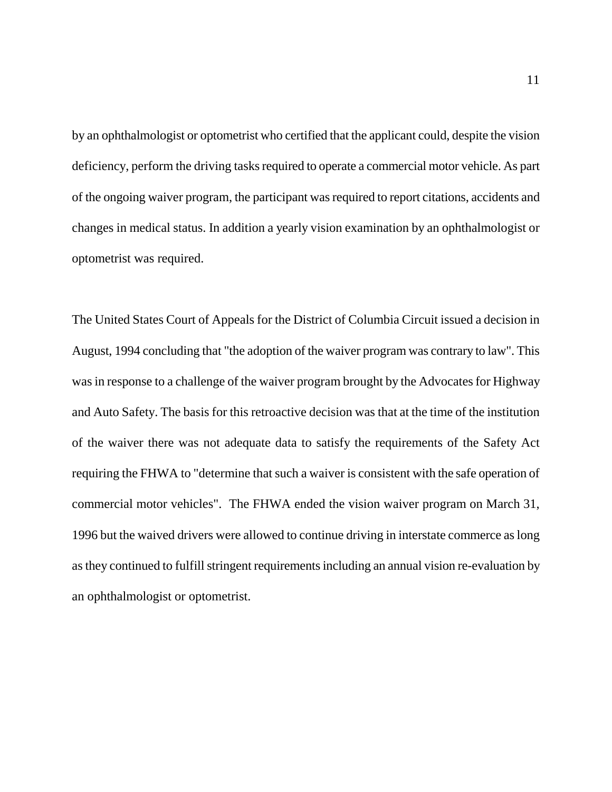by an ophthalmologist or optometrist who certified that the applicant could, despite the vision deficiency, perform the driving tasks required to operate a commercial motor vehicle. As part of the ongoing waiver program, the participant was required to report citations, accidents and changes in medical status. In addition a yearly vision examination by an ophthalmologist or optometrist was required.

The United States Court of Appeals for the District of Columbia Circuit issued a decision in August, 1994 concluding that "the adoption of the waiver program was contrary to law". This was in response to a challenge of the waiver program brought by the Advocates for Highway and Auto Safety. The basis for this retroactive decision was that at the time of the institution of the waiver there was not adequate data to satisfy the requirements of the Safety Act requiring the FHWA to "determine that such a waiver is consistent with the safe operation of commercial motor vehicles". The FHWA ended the vision waiver program on March 31, 1996 but the waived drivers were allowed to continue driving in interstate commerce as long as they continued to fulfill stringent requirements including an annual vision re-evaluation by an ophthalmologist or optometrist.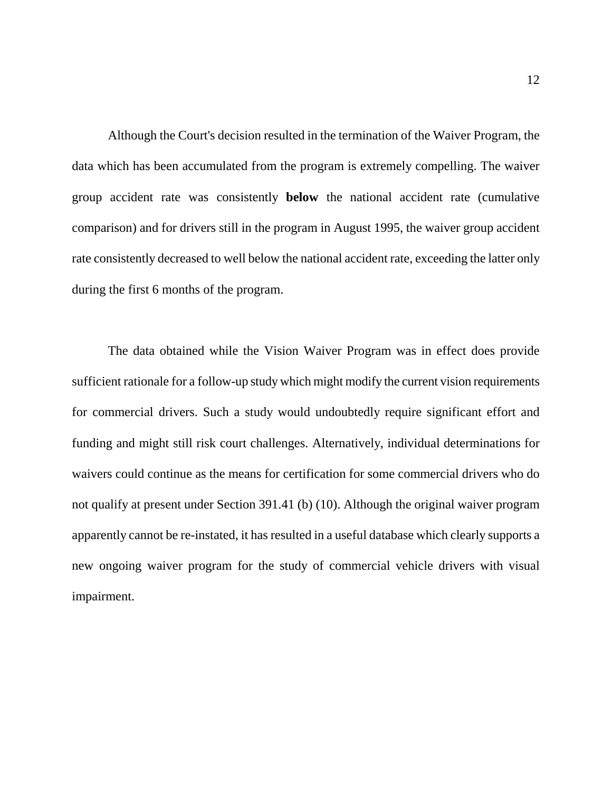Although the Court's decision resulted in the termination of the Waiver Program, the data which has been accumulated from the program is extremely compelling. The waiver group accident rate was consistently **below** the national accident rate (cumulative comparison) and for drivers still in the program in August 1995, the waiver group accident rate consistently decreased to well below the national accident rate, exceeding the latter only during the first 6 months of the program.

The data obtained while the Vision Waiver Program was in effect does provide sufficient rationale for a follow-up study which might modify the current vision requirements for commercial drivers. Such a study would undoubtedly require significant effort and funding and might still risk court challenges. Alternatively, individual determinations for waivers could continue as the means for certification for some commercial drivers who do not qualify at present under Section 391.41 (b) (10). Although the original waiver program apparently cannot be re-instated, it has resulted in a useful database which clearly supports a new ongoing waiver program for the study of commercial vehicle drivers with visual impairment.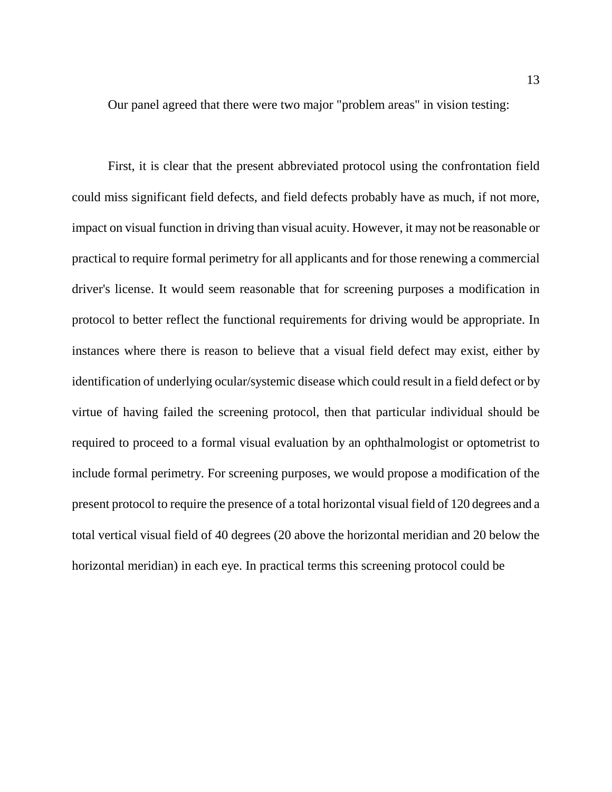Our panel agreed that there were two major "problem areas" in vision testing:

First, it is clear that the present abbreviated protocol using the confrontation field could miss significant field defects, and field defects probably have as much, if not more, impact on visual function in driving than visual acuity. However, it may not be reasonable or practical to require formal perimetry for all applicants and for those renewing a commercial driver's license. It would seem reasonable that for screening purposes a modification in protocol to better reflect the functional requirements for driving would be appropriate. In instances where there is reason to believe that a visual field defect may exist, either by identification of underlying ocular/systemic disease which could result in a field defect or by virtue of having failed the screening protocol, then that particular individual should be required to proceed to a formal visual evaluation by an ophthalmologist or optometrist to include formal perimetry. For screening purposes, we would propose a modification of the present protocol to require the presence of a total horizontal visual field of 120 degrees and a total vertical visual field of 40 degrees (20 above the horizontal meridian and 20 below the horizontal meridian) in each eye. In practical terms this screening protocol could be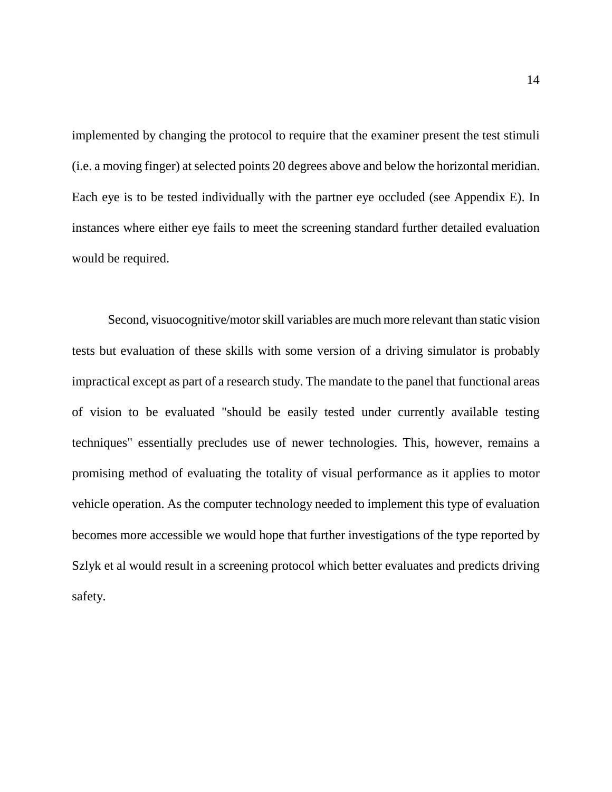implemented by changing the protocol to require that the examiner present the test stimuli (i.e. a moving finger) at selected points 20 degrees above and below the horizontal meridian. Each eye is to be tested individually with the partner eye occluded (see Appendix E). In instances where either eye fails to meet the screening standard further detailed evaluation would be required.

Second, visuocognitive/motor skill variables are much more relevant than static vision tests but evaluation of these skills with some version of a driving simulator is probably impractical except as part of a research study. The mandate to the panel that functional areas of vision to be evaluated "should be easily tested under currently available testing techniques" essentially precludes use of newer technologies. This, however, remains a promising method of evaluating the totality of visual performance as it applies to motor vehicle operation. As the computer technology needed to implement this type of evaluation becomes more accessible we would hope that further investigations of the type reported by Szlyk et al would result in a screening protocol which better evaluates and predicts driving safety.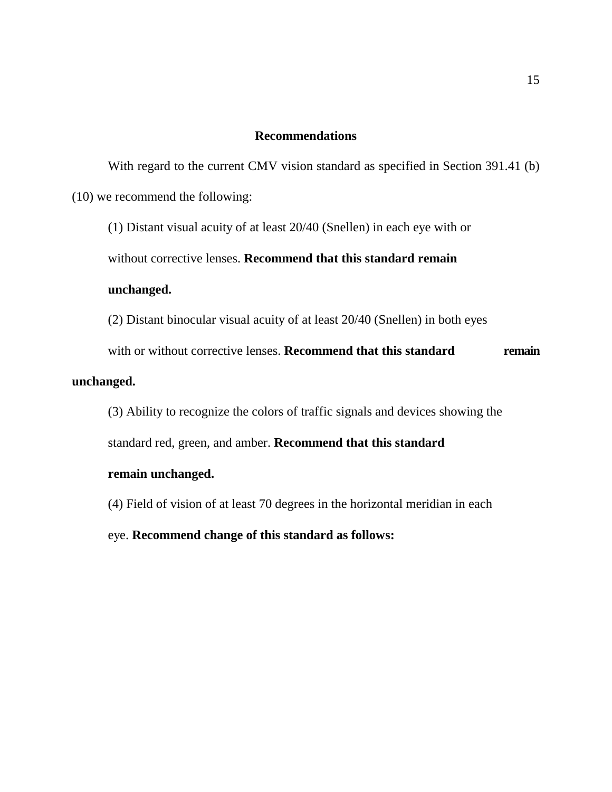#### **Recommendations**

With regard to the current CMV vision standard as specified in Section 391.41 (b) (10) we recommend the following:

(1) Distant visual acuity of at least 20/40 (Snellen) in each eye with or

without corrective lenses. **Recommend that this standard remain** 

#### **unchanged.**

(2) Distant binocular visual acuity of at least 20/40 (Snellen) in both eyes

with or without corrective lenses. **Recommend that this standard remain** 

#### **unchanged.**

(3) Ability to recognize the colors of traffic signals and devices showing the standard red, green, and amber. **Recommend that this standard** 

## **remain unchanged.**

(4) Field of vision of at least 70 degrees in the horizontal meridian in each eye. **Recommend change of this standard as follows:**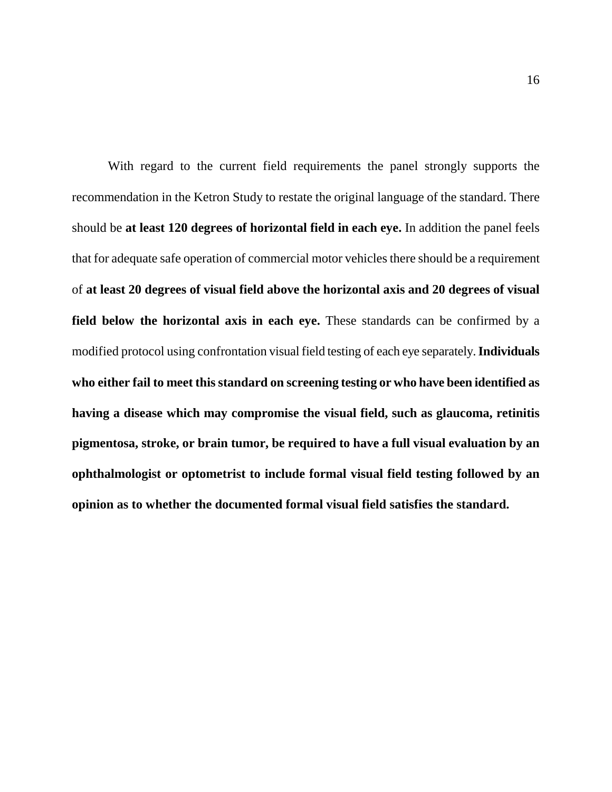With regard to the current field requirements the panel strongly supports the recommendation in the Ketron Study to restate the original language of the standard. There should be **at least 120 degrees of horizontal field in each eye.** In addition the panel feels that for adequate safe operation of commercial motor vehicles there should be a requirement of **at least 20 degrees of visual field above the horizontal axis and 20 degrees of visual field below the horizontal axis in each eye.** These standards can be confirmed by a modified protocol using confrontation visual field testing of each eye separately. **Individuals who either fail to meet this standard on screening testing or who have been identified as having a disease which may compromise the visual field, such as glaucoma, retinitis pigmentosa, stroke, or brain tumor, be required to have a full visual evaluation by an ophthalmologist or optometrist to include formal visual field testing followed by an opinion as to whether the documented formal visual field satisfies the standard.**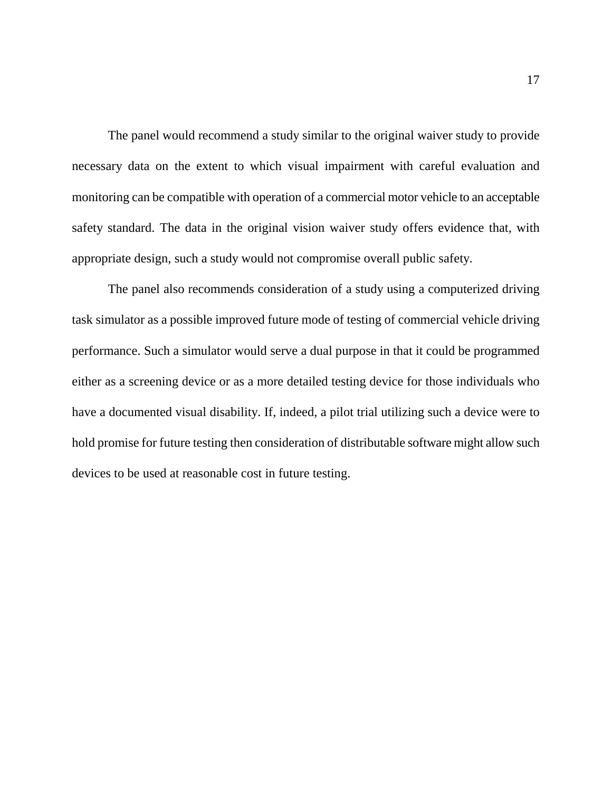The panel would recommend a study similar to the original waiver study to provide necessary data on the extent to which visual impairment with careful evaluation and monitoring can be compatible with operation of a commercial motor vehicle to an acceptable safety standard. The data in the original vision waiver study offers evidence that, with appropriate design, such a study would not compromise overall public safety.

The panel also recommends consideration of a study using a computerized driving task simulator as a possible improved future mode of testing of commercial vehicle driving performance. Such a simulator would serve a dual purpose in that it could be programmed either as a screening device or as a more detailed testing device for those individuals who have a documented visual disability. If, indeed, a pilot trial utilizing such a device were to hold promise for future testing then consideration of distributable software might allow such devices to be used at reasonable cost in future testing.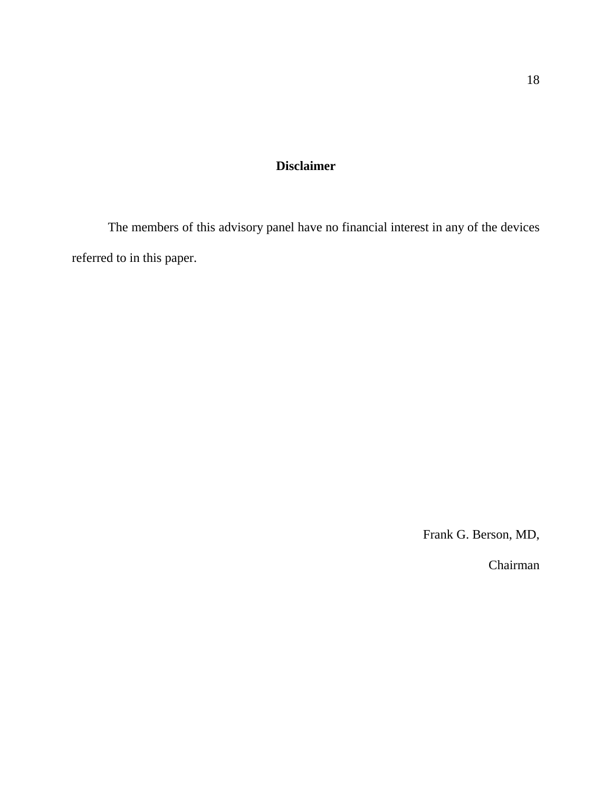# **Disclaimer**

The members of this advisory panel have no financial interest in any of the devices referred to in this paper.

Frank G. Berson, MD,

Chairman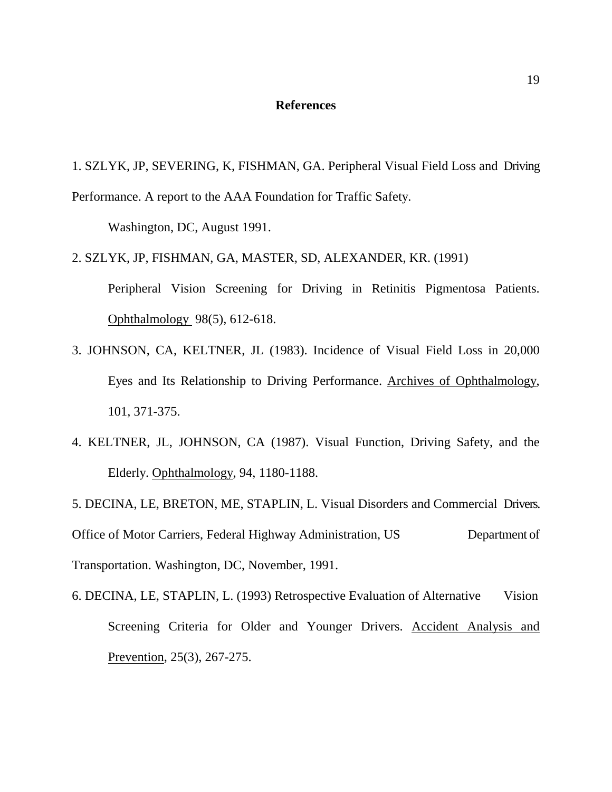#### **References**

1. SZLYK, JP, SEVERING, K, FISHMAN, GA. Peripheral Visual Field Loss and Driving Performance. A report to the AAA Foundation for Traffic Safety.

Washington, DC, August 1991.

- 2. SZLYK, JP, FISHMAN, GA, MASTER, SD, ALEXANDER, KR. (1991) Peripheral Vision Screening for Driving in Retinitis Pigmentosa Patients. Ophthalmology 98(5), 612-618.
- 3. JOHNSON, CA, KELTNER, JL (1983). Incidence of Visual Field Loss in 20,000 Eyes and Its Relationship to Driving Performance. Archives of Ophthalmology, 101, 371-375.
- 4. KELTNER, JL, JOHNSON, CA (1987). Visual Function, Driving Safety, and the Elderly. Ophthalmology, 94, 1180-1188.

5. DECINA, LE, BRETON, ME, STAPLIN, L. Visual Disorders and Commercial Drivers. Office of Motor Carriers, Federal Highway Administration, US Department of Transportation. Washington, DC, November, 1991.

6. DECINA, LE, STAPLIN, L. (1993) Retrospective Evaluation of Alternative Vision Screening Criteria for Older and Younger Drivers. Accident Analysis and Prevention, 25(3), 267-275.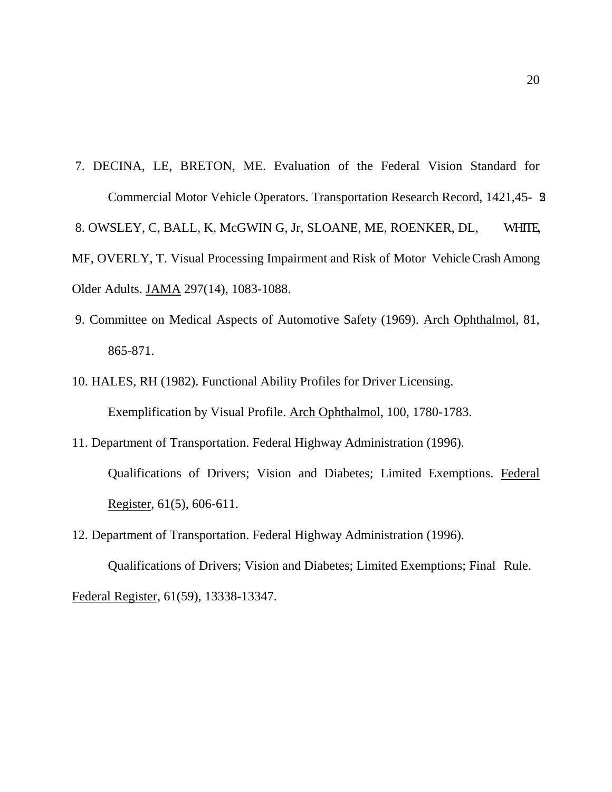- 7. DECINA, LE, BRETON, ME. Evaluation of the Federal Vision Standard for Commercial Motor Vehicle Operators. Transportation Research Record, 1421,45- 52. 8. OWSLEY, C, BALL, K, McGWIN G, Jr, SLOANE, ME, ROENKER, DL, WHITE, MF, OVERLY, T. Visual Processing Impairment and Risk of Motor Vehicle Crash Among Older Adults. JAMA 297(14), 1083-1088.
- 9. Committee on Medical Aspects of Automotive Safety (1969). Arch Ophthalmol, 81, 865-871.
- 10. HALES, RH (1982). Functional Ability Profiles for Driver Licensing. Exemplification by Visual Profile. Arch Ophthalmol, 100, 1780-1783.
- 11. Department of Transportation. Federal Highway Administration (1996). Qualifications of Drivers; Vision and Diabetes; Limited Exemptions. Federal Register, 61(5), 606-611.
- 12. Department of Transportation. Federal Highway Administration (1996).

 Qualifications of Drivers; Vision and Diabetes; Limited Exemptions; Final Rule. Federal Register, 61(59), 13338-13347.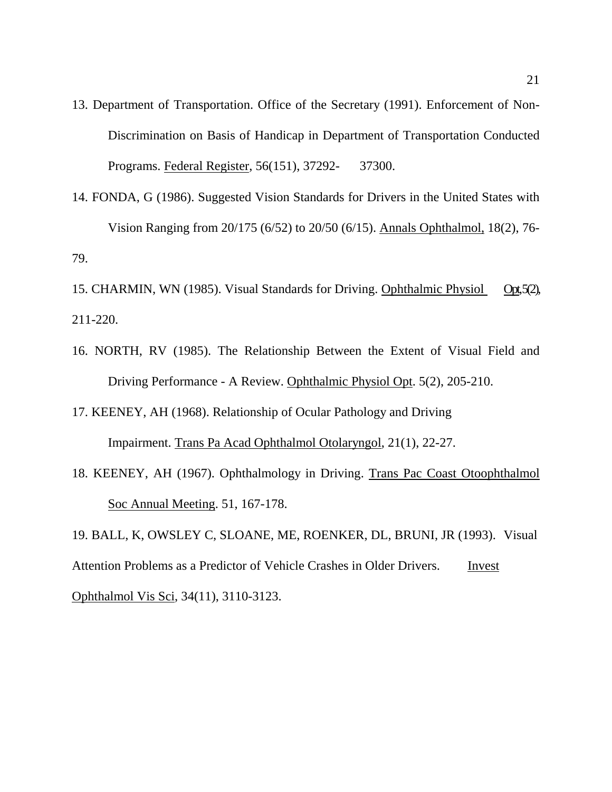- 13. Department of Transportation. Office of the Secretary (1991). Enforcement of Non- Discrimination on Basis of Handicap in Department of Transportation Conducted Programs. Federal Register, 56(151), 37292- 37300.
- 14. FONDA, G (1986). Suggested Vision Standards for Drivers in the United States with Vision Ranging from 20/175 (6/52) to 20/50 (6/15). Annals Ophthalmol, 18(2), 76- 79.
- 15. CHARMIN, WN (1985). Visual Standards for Driving. Ophthalmic Physiol Opt, 5(2), 211-220.
- 16. NORTH, RV (1985). The Relationship Between the Extent of Visual Field and Driving Performance - A Review. Ophthalmic Physiol Opt. 5(2), 205-210.
- 17. KEENEY, AH (1968). Relationship of Ocular Pathology and Driving Impairment. Trans Pa Acad Ophthalmol Otolaryngol, 21(1), 22-27.
- 18. KEENEY, AH (1967). Ophthalmology in Driving. Trans Pac Coast Otoophthalmol Soc Annual Meeting. 51, 167-178.

19. BALL, K, OWSLEY C, SLOANE, ME, ROENKER, DL, BRUNI, JR (1993). Visual Attention Problems as a Predictor of Vehicle Crashes in Older Drivers. Invest Ophthalmol Vis Sci, 34(11), 3110-3123.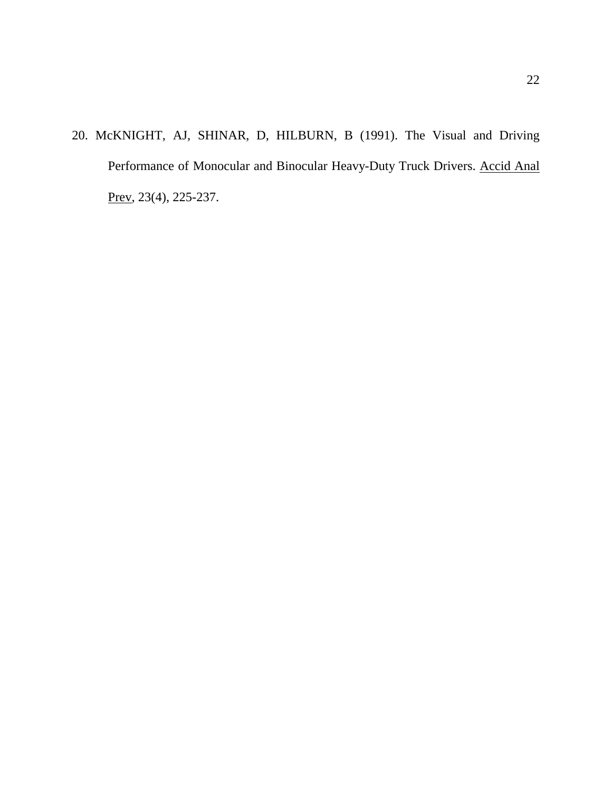20. McKNIGHT, AJ, SHINAR, D, HILBURN, B (1991). The Visual and Driving Performance of Monocular and Binocular Heavy-Duty Truck Drivers. Accid Anal Prev, 23(4), 225-237.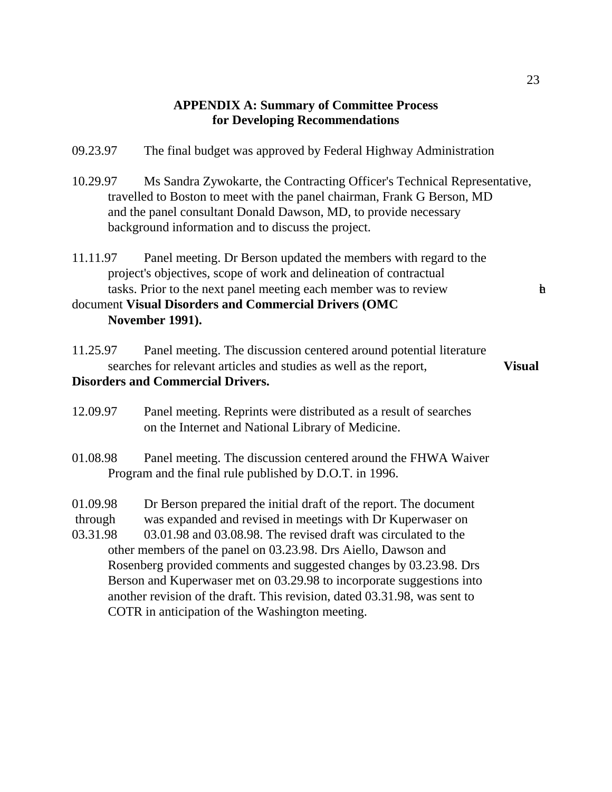## **APPENDIX A: Summary of Committee Process for Developing Recommendations**

- 09.23.97 The final budget was approved by Federal Highway Administration
- 10.29.97 Ms Sandra Zywokarte, the Contracting Officer's Technical Representative, travelled to Boston to meet with the panel chairman, Frank G Berson, MD and the panel consultant Donald Dawson, MD, to provide necessary background information and to discuss the project.
- 11.11.97 Panel meeting. Dr Berson updated the members with regard to the project's objectives, scope of work and delineation of contractual tasks. Prior to the next panel meeting each member was to review **the ext**

```
document Visual Disorders and Commercial Drivers (OMC 
November 1991).
```
- 11.25.97 Panel meeting. The discussion centered around potential literature searches for relevant articles and studies as well as the report, **Visual Disorders and Commercial Drivers.**
- 12.09.97 Panel meeting. Reprints were distributed as a result of searches on the Internet and National Library of Medicine.
- 01.08.98 Panel meeting. The discussion centered around the FHWA Waiver Program and the final rule published by D.O.T. in 1996.

01.09.98 Dr Berson prepared the initial draft of the report. The document through was expanded and revised in meetings with Dr Kuperwaser on 03.31.98 03.01.98 and 03.08.98. The revised draft was circulated to the other members of the panel on 03.23.98. Drs Aiello, Dawson and Rosenberg provided comments and suggested changes by 03.23.98. Drs Berson and Kuperwaser met on 03.29.98 to incorporate suggestions into another revision of the draft. This revision, dated 03.31.98, was sent to COTR in anticipation of the Washington meeting.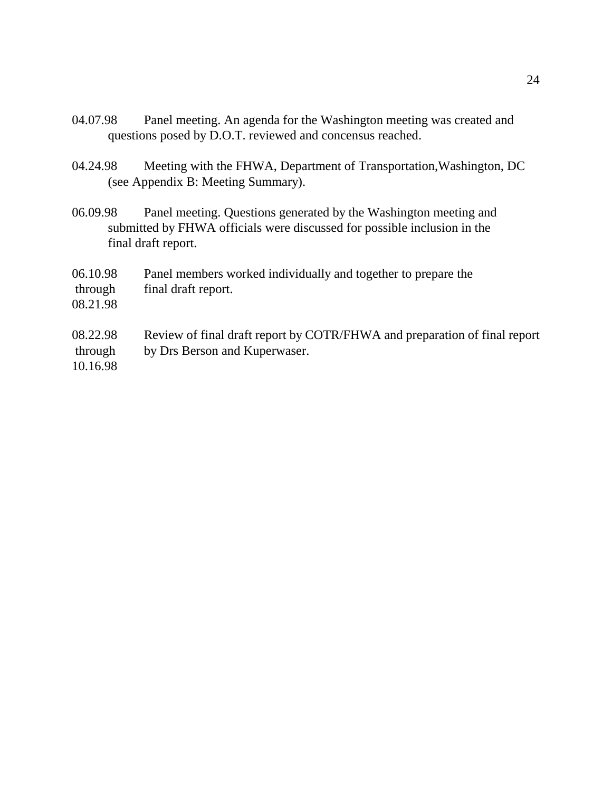- 04.07.98 Panel meeting. An agenda for the Washington meeting was created and questions posed by D.O.T. reviewed and concensus reached.
- 04.24.98 Meeting with the FHWA, Department of Transportation,Washington, DC (see Appendix B: Meeting Summary).
- 06.09.98 Panel meeting. Questions generated by the Washington meeting and submitted by FHWA officials were discussed for possible inclusion in the final draft report.
- 06.10.98 Panel members worked individually and together to prepare the through final draft report.
- 08.21.98

# 08.22.98 Review of final draft report by COTR/FHWA and preparation of final report through by Drs Berson and Kuperwaser.

10.16.98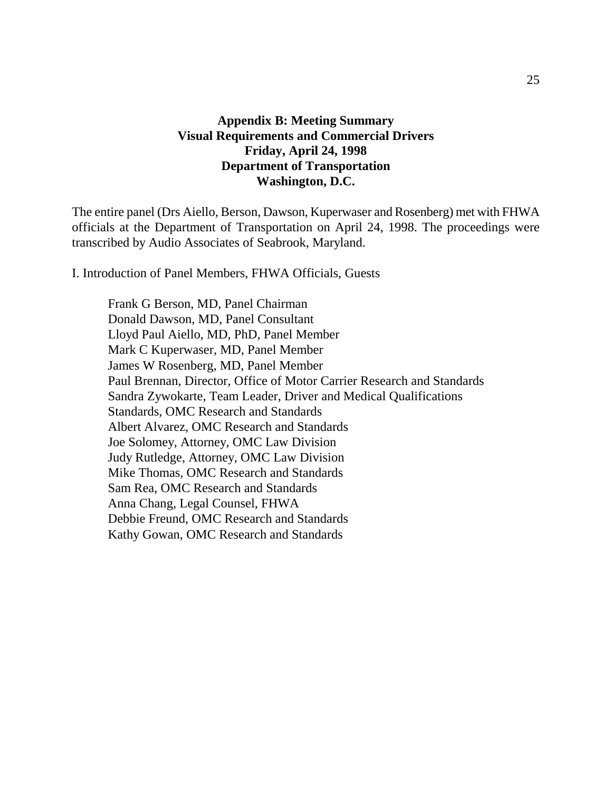## **Appendix B: Meeting Summary Visual Requirements and Commercial Drivers Friday, April 24, 1998 Department of Transportation Washington, D.C.**

The entire panel (Drs Aiello, Berson, Dawson, Kuperwaser and Rosenberg) met with FHWA officials at the Department of Transportation on April 24, 1998. The proceedings were transcribed by Audio Associates of Seabrook, Maryland.

I. Introduction of Panel Members, FHWA Officials, Guests

Frank G Berson, MD, Panel Chairman Donald Dawson, MD, Panel Consultant Lloyd Paul Aiello, MD, PhD, Panel Member Mark C Kuperwaser, MD, Panel Member James W Rosenberg, MD, Panel Member Paul Brennan, Director, Office of Motor Carrier Research and Standards Sandra Zywokarte, Team Leader, Driver and Medical Qualifications Standards, OMC Research and Standards Albert Alvarez, OMC Research and Standards Joe Solomey, Attorney, OMC Law Division Judy Rutledge, Attorney, OMC Law Division Mike Thomas, OMC Research and Standards Sam Rea, OMC Research and Standards Anna Chang, Legal Counsel, FHWA Debbie Freund, OMC Research and Standards Kathy Gowan, OMC Research and Standards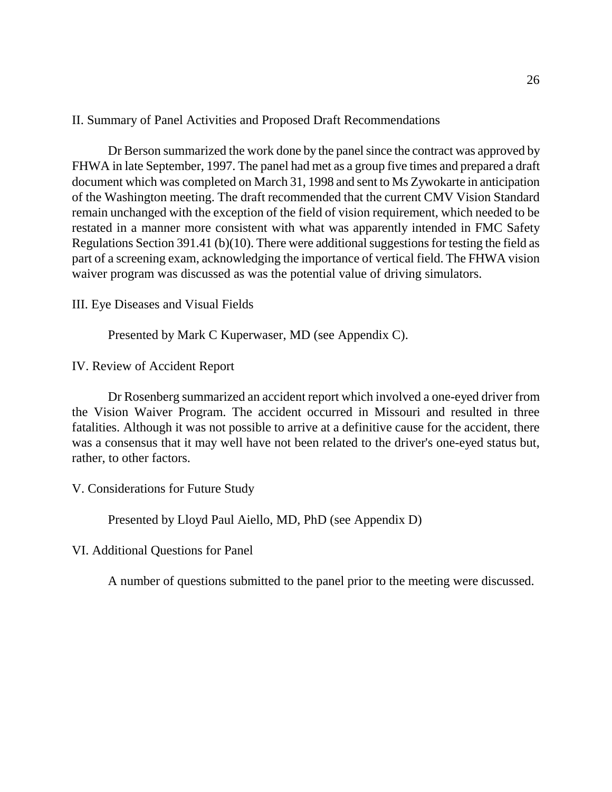II. Summary of Panel Activities and Proposed Draft Recommendations

Dr Berson summarized the work done by the panel since the contract was approved by FHWA in late September, 1997. The panel had met as a group five times and prepared a draft document which was completed on March 31, 1998 and sent to Ms Zywokarte in anticipation of the Washington meeting. The draft recommended that the current CMV Vision Standard remain unchanged with the exception of the field of vision requirement, which needed to be restated in a manner more consistent with what was apparently intended in FMC Safety Regulations Section 391.41 (b)(10). There were additional suggestions for testing the field as part of a screening exam, acknowledging the importance of vertical field. The FHWA vision waiver program was discussed as was the potential value of driving simulators.

III. Eye Diseases and Visual Fields

Presented by Mark C Kuperwaser, MD (see Appendix C).

IV. Review of Accident Report

Dr Rosenberg summarized an accident report which involved a one-eyed driver from the Vision Waiver Program. The accident occurred in Missouri and resulted in three fatalities. Although it was not possible to arrive at a definitive cause for the accident, there was a consensus that it may well have not been related to the driver's one-eyed status but, rather, to other factors.

V. Considerations for Future Study

Presented by Lloyd Paul Aiello, MD, PhD (see Appendix D)

VI. Additional Questions for Panel

A number of questions submitted to the panel prior to the meeting were discussed.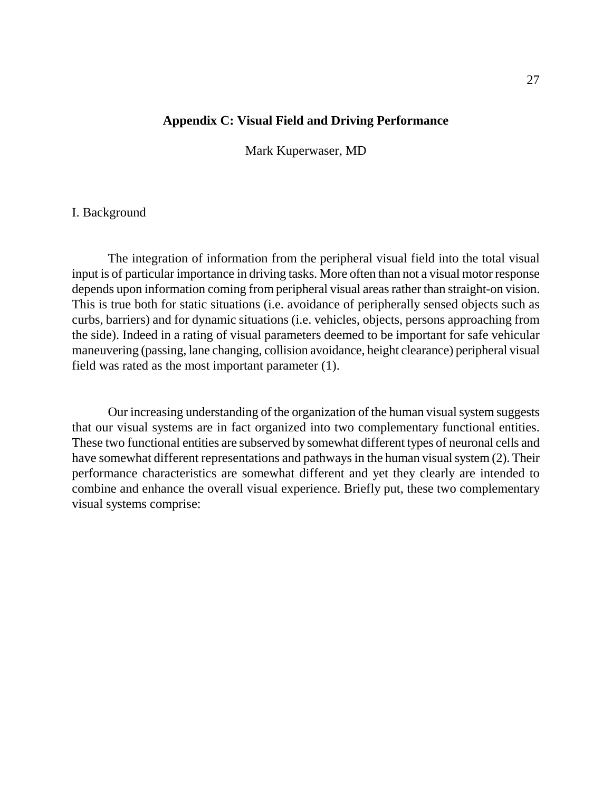#### **Appendix C: Visual Field and Driving Performance**

Mark Kuperwaser, MD

#### I. Background

The integration of information from the peripheral visual field into the total visual input is of particular importance in driving tasks. More often than not a visual motor response depends upon information coming from peripheral visual areas rather than straight-on vision. This is true both for static situations (i.e. avoidance of peripherally sensed objects such as curbs, barriers) and for dynamic situations (i.e. vehicles, objects, persons approaching from the side). Indeed in a rating of visual parameters deemed to be important for safe vehicular maneuvering (passing, lane changing, collision avoidance, height clearance) peripheral visual field was rated as the most important parameter (1).

Our increasing understanding of the organization of the human visual system suggests that our visual systems are in fact organized into two complementary functional entities. These two functional entities are subserved by somewhat different types of neuronal cells and have somewhat different representations and pathways in the human visual system (2). Their performance characteristics are somewhat different and yet they clearly are intended to combine and enhance the overall visual experience. Briefly put, these two complementary visual systems comprise: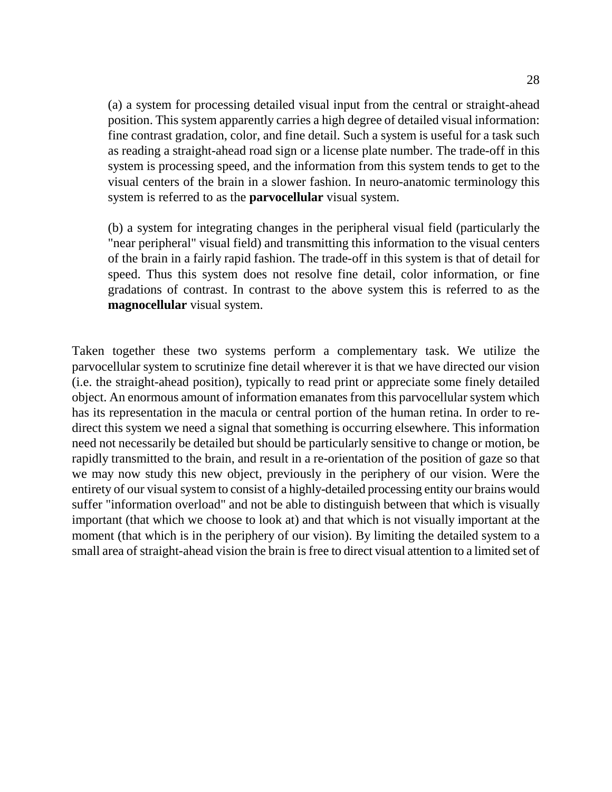(a) a system for processing detailed visual input from the central or straight-ahead position. This system apparently carries a high degree of detailed visual information: fine contrast gradation, color, and fine detail. Such a system is useful for a task such as reading a straight-ahead road sign or a license plate number. The trade-off in this system is processing speed, and the information from this system tends to get to the visual centers of the brain in a slower fashion. In neuro-anatomic terminology this system is referred to as the **parvocellular** visual system.

(b) a system for integrating changes in the peripheral visual field (particularly the "near peripheral" visual field) and transmitting this information to the visual centers of the brain in a fairly rapid fashion. The trade-off in this system is that of detail for speed. Thus this system does not resolve fine detail, color information, or fine gradations of contrast. In contrast to the above system this is referred to as the **magnocellular** visual system.

Taken together these two systems perform a complementary task. We utilize the parvocellular system to scrutinize fine detail wherever it is that we have directed our vision (i.e. the straight-ahead position), typically to read print or appreciate some finely detailed object. An enormous amount of information emanates from this parvocellular system which has its representation in the macula or central portion of the human retina. In order to redirect this system we need a signal that something is occurring elsewhere. This information need not necessarily be detailed but should be particularly sensitive to change or motion, be rapidly transmitted to the brain, and result in a re-orientation of the position of gaze so that we may now study this new object, previously in the periphery of our vision. Were the entirety of our visual system to consist of a highly-detailed processing entity our brains would suffer "information overload" and not be able to distinguish between that which is visually important (that which we choose to look at) and that which is not visually important at the moment (that which is in the periphery of our vision). By limiting the detailed system to a small area of straight-ahead vision the brain is free to direct visual attention to a limited set of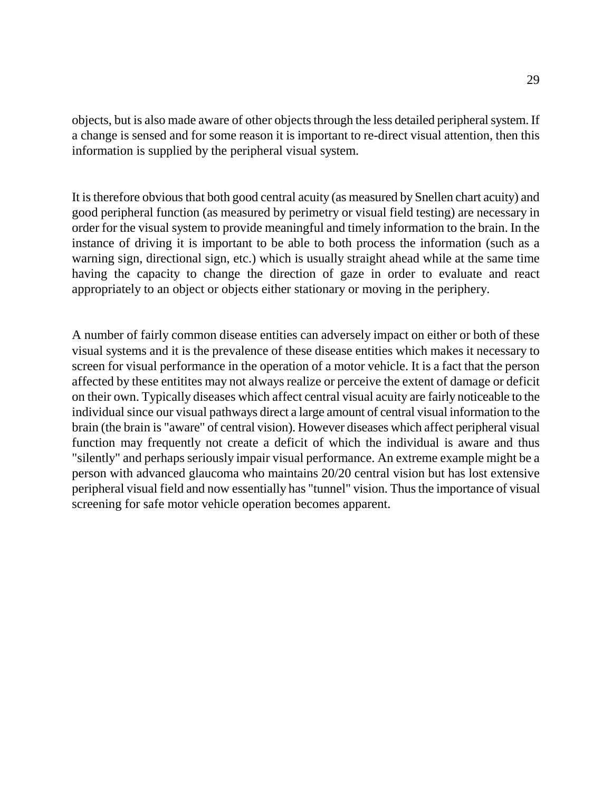objects, but is also made aware of other objects through the less detailed peripheral system. If a change is sensed and for some reason it is important to re-direct visual attention, then this information is supplied by the peripheral visual system.

It is therefore obvious that both good central acuity (as measured by Snellen chart acuity) and good peripheral function (as measured by perimetry or visual field testing) are necessary in order for the visual system to provide meaningful and timely information to the brain. In the instance of driving it is important to be able to both process the information (such as a warning sign, directional sign, etc.) which is usually straight ahead while at the same time having the capacity to change the direction of gaze in order to evaluate and react appropriately to an object or objects either stationary or moving in the periphery.

A number of fairly common disease entities can adversely impact on either or both of these visual systems and it is the prevalence of these disease entities which makes it necessary to screen for visual performance in the operation of a motor vehicle. It is a fact that the person affected by these entitites may not always realize or perceive the extent of damage or deficit on their own. Typically diseases which affect central visual acuity are fairly noticeable to the individual since our visual pathways direct a large amount of central visual information to the brain (the brain is "aware" of central vision). However diseases which affect peripheral visual function may frequently not create a deficit of which the individual is aware and thus "silently" and perhaps seriously impair visual performance. An extreme example might be a person with advanced glaucoma who maintains 20/20 central vision but has lost extensive peripheral visual field and now essentially has "tunnel" vision. Thus the importance of visual screening for safe motor vehicle operation becomes apparent.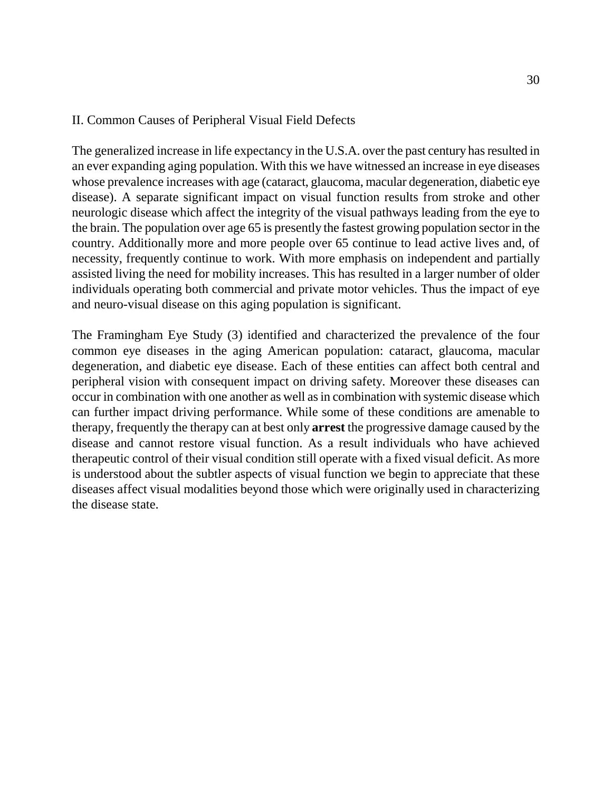## II. Common Causes of Peripheral Visual Field Defects

The generalized increase in life expectancy in the U.S.A. over the past century has resulted in an ever expanding aging population. With this we have witnessed an increase in eye diseases whose prevalence increases with age (cataract, glaucoma, macular degeneration, diabetic eye disease). A separate significant impact on visual function results from stroke and other neurologic disease which affect the integrity of the visual pathways leading from the eye to the brain. The population over age 65 is presently the fastest growing population sector in the country. Additionally more and more people over 65 continue to lead active lives and, of necessity, frequently continue to work. With more emphasis on independent and partially assisted living the need for mobility increases. This has resulted in a larger number of older individuals operating both commercial and private motor vehicles. Thus the impact of eye and neuro-visual disease on this aging population is significant.

The Framingham Eye Study (3) identified and characterized the prevalence of the four common eye diseases in the aging American population: cataract, glaucoma, macular degeneration, and diabetic eye disease. Each of these entities can affect both central and peripheral vision with consequent impact on driving safety. Moreover these diseases can occur in combination with one another as well as in combination with systemic disease which can further impact driving performance. While some of these conditions are amenable to therapy, frequently the therapy can at best only **arrest** the progressive damage caused by the disease and cannot restore visual function. As a result individuals who have achieved therapeutic control of their visual condition still operate with a fixed visual deficit. As more is understood about the subtler aspects of visual function we begin to appreciate that these diseases affect visual modalities beyond those which were originally used in characterizing the disease state.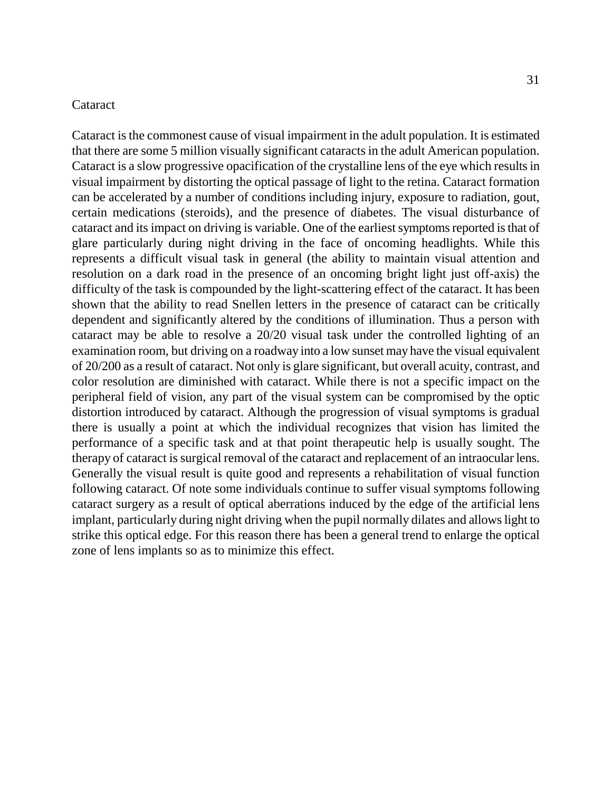#### **Cataract**

Cataract is the commonest cause of visual impairment in the adult population. It is estimated that there are some 5 million visually significant cataracts in the adult American population. Cataract is a slow progressive opacification of the crystalline lens of the eye which results in visual impairment by distorting the optical passage of light to the retina. Cataract formation can be accelerated by a number of conditions including injury, exposure to radiation, gout, certain medications (steroids), and the presence of diabetes. The visual disturbance of cataract and its impact on driving is variable. One of the earliest symptoms reported is that of glare particularly during night driving in the face of oncoming headlights. While this represents a difficult visual task in general (the ability to maintain visual attention and resolution on a dark road in the presence of an oncoming bright light just off-axis) the difficulty of the task is compounded by the light-scattering effect of the cataract. It has been shown that the ability to read Snellen letters in the presence of cataract can be critically dependent and significantly altered by the conditions of illumination. Thus a person with cataract may be able to resolve a 20/20 visual task under the controlled lighting of an examination room, but driving on a roadway into a low sunset may have the visual equivalent of 20/200 as a result of cataract. Not only is glare significant, but overall acuity, contrast, and color resolution are diminished with cataract. While there is not a specific impact on the peripheral field of vision, any part of the visual system can be compromised by the optic distortion introduced by cataract. Although the progression of visual symptoms is gradual there is usually a point at which the individual recognizes that vision has limited the performance of a specific task and at that point therapeutic help is usually sought. The therapy of cataract is surgical removal of the cataract and replacement of an intraocular lens. Generally the visual result is quite good and represents a rehabilitation of visual function following cataract. Of note some individuals continue to suffer visual symptoms following cataract surgery as a result of optical aberrations induced by the edge of the artificial lens implant, particularly during night driving when the pupil normally dilates and allows light to strike this optical edge. For this reason there has been a general trend to enlarge the optical zone of lens implants so as to minimize this effect.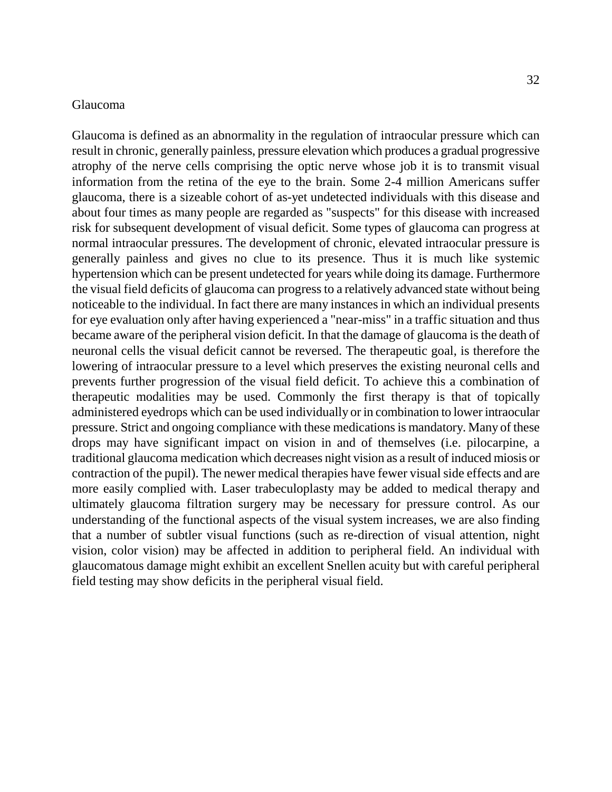#### Glaucoma

Glaucoma is defined as an abnormality in the regulation of intraocular pressure which can result in chronic, generally painless, pressure elevation which produces a gradual progressive atrophy of the nerve cells comprising the optic nerve whose job it is to transmit visual information from the retina of the eye to the brain. Some 2-4 million Americans suffer glaucoma, there is a sizeable cohort of as-yet undetected individuals with this disease and about four times as many people are regarded as "suspects" for this disease with increased risk for subsequent development of visual deficit. Some types of glaucoma can progress at normal intraocular pressures. The development of chronic, elevated intraocular pressure is generally painless and gives no clue to its presence. Thus it is much like systemic hypertension which can be present undetected for years while doing its damage. Furthermore the visual field deficits of glaucoma can progress to a relatively advanced state without being noticeable to the individual. In fact there are many instances in which an individual presents for eye evaluation only after having experienced a "near-miss" in a traffic situation and thus became aware of the peripheral vision deficit. In that the damage of glaucoma is the death of neuronal cells the visual deficit cannot be reversed. The therapeutic goal, is therefore the lowering of intraocular pressure to a level which preserves the existing neuronal cells and prevents further progression of the visual field deficit. To achieve this a combination of therapeutic modalities may be used. Commonly the first therapy is that of topically administered eyedrops which can be used individually or in combination to lower intraocular pressure. Strict and ongoing compliance with these medications is mandatory. Many of these drops may have significant impact on vision in and of themselves (i.e. pilocarpine, a traditional glaucoma medication which decreases night vision as a result of induced miosis or contraction of the pupil). The newer medical therapies have fewer visual side effects and are more easily complied with. Laser trabeculoplasty may be added to medical therapy and ultimately glaucoma filtration surgery may be necessary for pressure control. As our understanding of the functional aspects of the visual system increases, we are also finding that a number of subtler visual functions (such as re-direction of visual attention, night vision, color vision) may be affected in addition to peripheral field. An individual with glaucomatous damage might exhibit an excellent Snellen acuity but with careful peripheral field testing may show deficits in the peripheral visual field.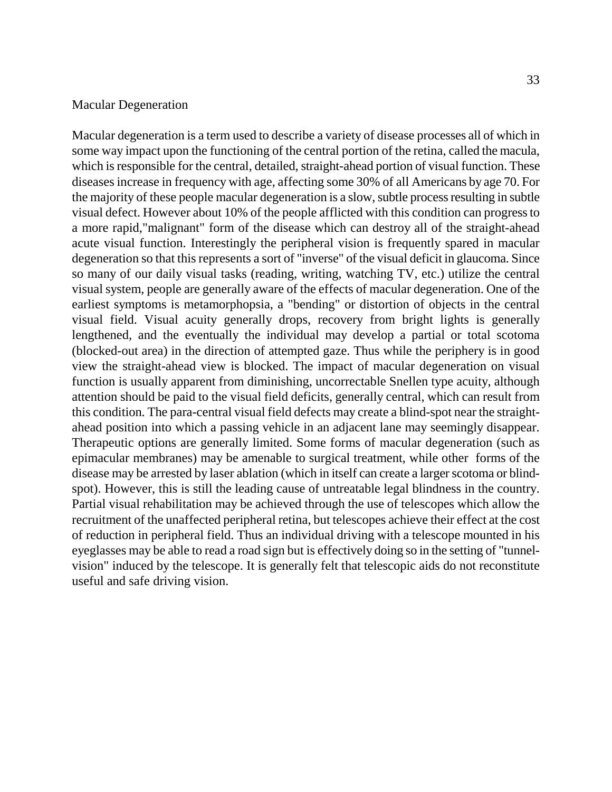#### Macular Degeneration

Macular degeneration is a term used to describe a variety of disease processes all of which in some way impact upon the functioning of the central portion of the retina, called the macula, which is responsible for the central, detailed, straight-ahead portion of visual function. These diseases increase in frequency with age, affecting some 30% of all Americans by age 70. For the majority of these people macular degeneration is a slow, subtle process resulting in subtle visual defect. However about 10% of the people afflicted with this condition can progress to a more rapid,"malignant" form of the disease which can destroy all of the straight-ahead acute visual function. Interestingly the peripheral vision is frequently spared in macular degeneration so that this represents a sort of "inverse" of the visual deficit in glaucoma. Since so many of our daily visual tasks (reading, writing, watching TV, etc.) utilize the central visual system, people are generally aware of the effects of macular degeneration. One of the earliest symptoms is metamorphopsia, a "bending" or distortion of objects in the central visual field. Visual acuity generally drops, recovery from bright lights is generally lengthened, and the eventually the individual may develop a partial or total scotoma (blocked-out area) in the direction of attempted gaze. Thus while the periphery is in good view the straight-ahead view is blocked. The impact of macular degeneration on visual function is usually apparent from diminishing, uncorrectable Snellen type acuity, although attention should be paid to the visual field deficits, generally central, which can result from this condition. The para-central visual field defects may create a blind-spot near the straightahead position into which a passing vehicle in an adjacent lane may seemingly disappear. Therapeutic options are generally limited. Some forms of macular degeneration (such as epimacular membranes) may be amenable to surgical treatment, while other forms of the disease may be arrested by laser ablation (which in itself can create a larger scotoma or blindspot). However, this is still the leading cause of untreatable legal blindness in the country. Partial visual rehabilitation may be achieved through the use of telescopes which allow the recruitment of the unaffected peripheral retina, but telescopes achieve their effect at the cost of reduction in peripheral field. Thus an individual driving with a telescope mounted in his eyeglasses may be able to read a road sign but is effectively doing so in the setting of "tunnelvision" induced by the telescope. It is generally felt that telescopic aids do not reconstitute useful and safe driving vision.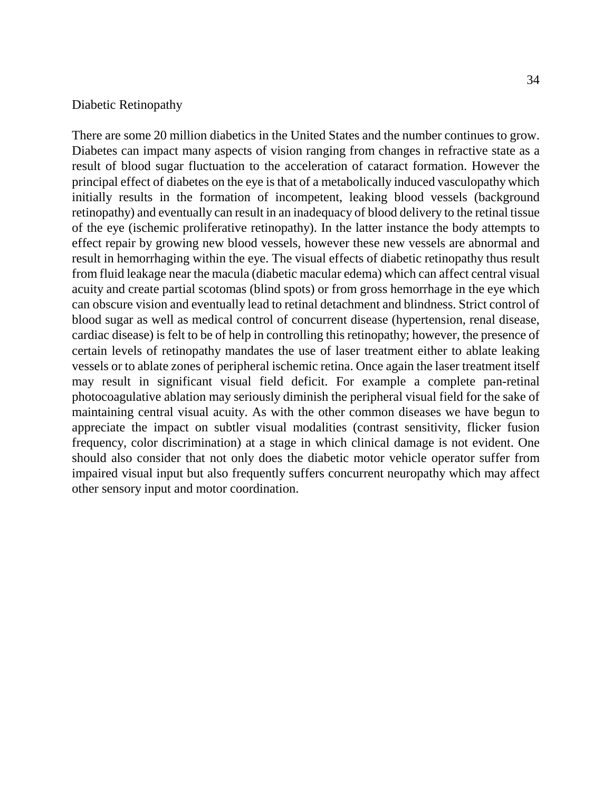#### Diabetic Retinopathy

There are some 20 million diabetics in the United States and the number continues to grow. Diabetes can impact many aspects of vision ranging from changes in refractive state as a result of blood sugar fluctuation to the acceleration of cataract formation. However the principal effect of diabetes on the eye is that of a metabolically induced vasculopathy which initially results in the formation of incompetent, leaking blood vessels (background retinopathy) and eventually can result in an inadequacy of blood delivery to the retinal tissue of the eye (ischemic proliferative retinopathy). In the latter instance the body attempts to effect repair by growing new blood vessels, however these new vessels are abnormal and result in hemorrhaging within the eye. The visual effects of diabetic retinopathy thus result from fluid leakage near the macula (diabetic macular edema) which can affect central visual acuity and create partial scotomas (blind spots) or from gross hemorrhage in the eye which can obscure vision and eventually lead to retinal detachment and blindness. Strict control of blood sugar as well as medical control of concurrent disease (hypertension, renal disease, cardiac disease) is felt to be of help in controlling this retinopathy; however, the presence of certain levels of retinopathy mandates the use of laser treatment either to ablate leaking vessels or to ablate zones of peripheral ischemic retina. Once again the laser treatment itself may result in significant visual field deficit. For example a complete pan-retinal photocoagulative ablation may seriously diminish the peripheral visual field for the sake of maintaining central visual acuity. As with the other common diseases we have begun to appreciate the impact on subtler visual modalities (contrast sensitivity, flicker fusion frequency, color discrimination) at a stage in which clinical damage is not evident. One should also consider that not only does the diabetic motor vehicle operator suffer from impaired visual input but also frequently suffers concurrent neuropathy which may affect other sensory input and motor coordination.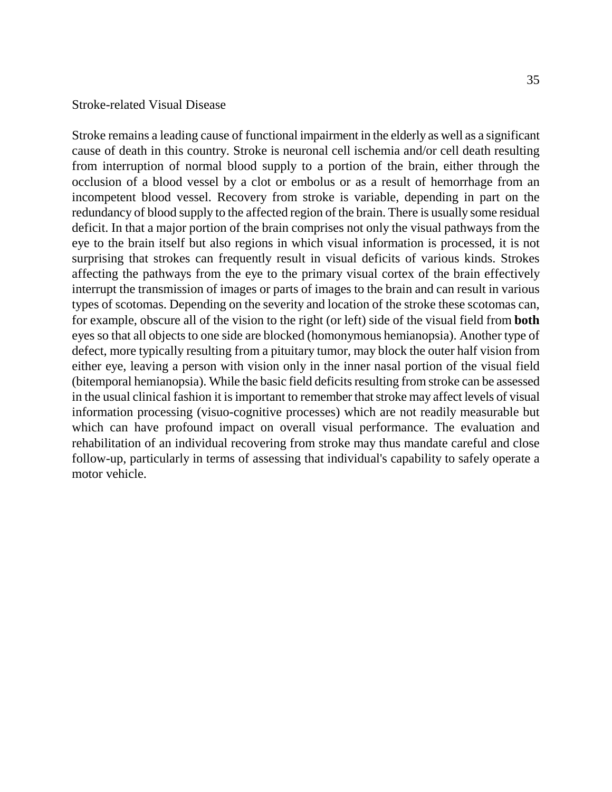#### Stroke-related Visual Disease

Stroke remains a leading cause of functional impairment in the elderly as well as a significant cause of death in this country. Stroke is neuronal cell ischemia and/or cell death resulting from interruption of normal blood supply to a portion of the brain, either through the occlusion of a blood vessel by a clot or embolus or as a result of hemorrhage from an incompetent blood vessel. Recovery from stroke is variable, depending in part on the redundancy of blood supply to the affected region of the brain. There is usually some residual deficit. In that a major portion of the brain comprises not only the visual pathways from the eye to the brain itself but also regions in which visual information is processed, it is not surprising that strokes can frequently result in visual deficits of various kinds. Strokes affecting the pathways from the eye to the primary visual cortex of the brain effectively interrupt the transmission of images or parts of images to the brain and can result in various types of scotomas. Depending on the severity and location of the stroke these scotomas can, for example, obscure all of the vision to the right (or left) side of the visual field from **both**  eyes so that all objects to one side are blocked (homonymous hemianopsia). Another type of defect, more typically resulting from a pituitary tumor, may block the outer half vision from either eye, leaving a person with vision only in the inner nasal portion of the visual field (bitemporal hemianopsia). While the basic field deficits resulting from stroke can be assessed in the usual clinical fashion it is important to remember that stroke may affect levels of visual information processing (visuo-cognitive processes) which are not readily measurable but which can have profound impact on overall visual performance. The evaluation and rehabilitation of an individual recovering from stroke may thus mandate careful and close follow-up, particularly in terms of assessing that individual's capability to safely operate a motor vehicle.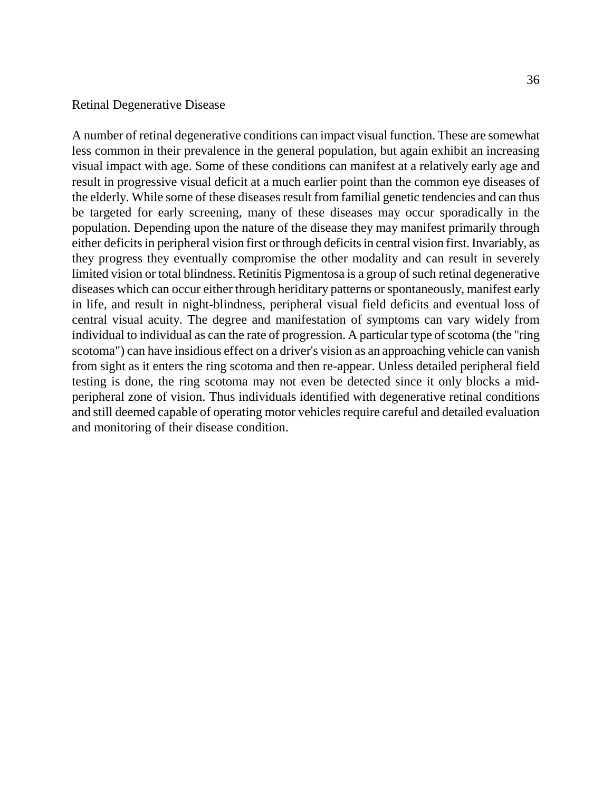#### Retinal Degenerative Disease

A number of retinal degenerative conditions can impact visual function. These are somewhat less common in their prevalence in the general population, but again exhibit an increasing visual impact with age. Some of these conditions can manifest at a relatively early age and result in progressive visual deficit at a much earlier point than the common eye diseases of the elderly. While some of these diseases result from familial genetic tendencies and can thus be targeted for early screening, many of these diseases may occur sporadically in the population. Depending upon the nature of the disease they may manifest primarily through either deficits in peripheral vision first or through deficits in central vision first. Invariably, as they progress they eventually compromise the other modality and can result in severely limited vision or total blindness. Retinitis Pigmentosa is a group of such retinal degenerative diseases which can occur either through heriditary patterns or spontaneously, manifest early in life, and result in night-blindness, peripheral visual field deficits and eventual loss of central visual acuity. The degree and manifestation of symptoms can vary widely from individual to individual as can the rate of progression. A particular type of scotoma (the "ring scotoma") can have insidious effect on a driver's vision as an approaching vehicle can vanish from sight as it enters the ring scotoma and then re-appear. Unless detailed peripheral field testing is done, the ring scotoma may not even be detected since it only blocks a midperipheral zone of vision. Thus individuals identified with degenerative retinal conditions and still deemed capable of operating motor vehicles require careful and detailed evaluation and monitoring of their disease condition.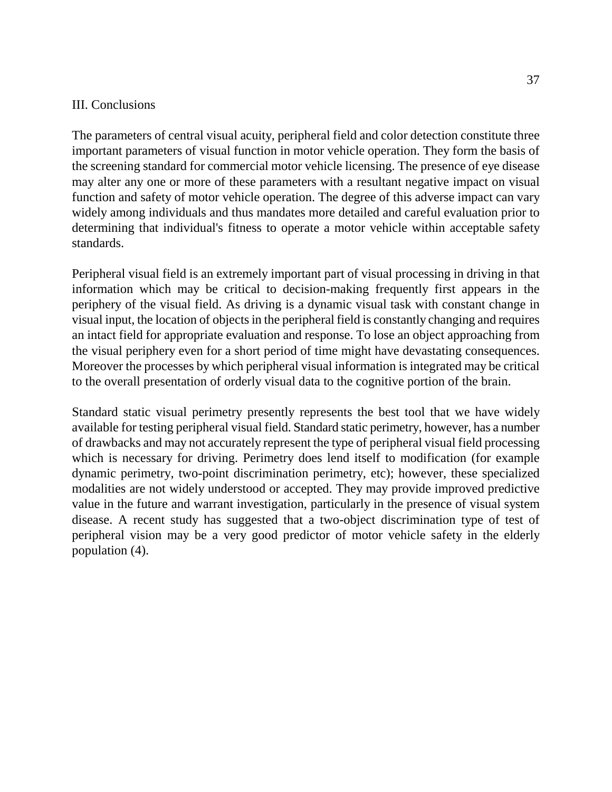#### III. Conclusions

The parameters of central visual acuity, peripheral field and color detection constitute three important parameters of visual function in motor vehicle operation. They form the basis of the screening standard for commercial motor vehicle licensing. The presence of eye disease may alter any one or more of these parameters with a resultant negative impact on visual function and safety of motor vehicle operation. The degree of this adverse impact can vary widely among individuals and thus mandates more detailed and careful evaluation prior to determining that individual's fitness to operate a motor vehicle within acceptable safety standards.

Peripheral visual field is an extremely important part of visual processing in driving in that information which may be critical to decision-making frequently first appears in the periphery of the visual field. As driving is a dynamic visual task with constant change in visual input, the location of objects in the peripheral field is constantly changing and requires an intact field for appropriate evaluation and response. To lose an object approaching from the visual periphery even for a short period of time might have devastating consequences. Moreover the processes by which peripheral visual information is integrated may be critical to the overall presentation of orderly visual data to the cognitive portion of the brain.

Standard static visual perimetry presently represents the best tool that we have widely available for testing peripheral visual field. Standard static perimetry, however, has a number of drawbacks and may not accurately represent the type of peripheral visual field processing which is necessary for driving. Perimetry does lend itself to modification (for example dynamic perimetry, two-point discrimination perimetry, etc); however, these specialized modalities are not widely understood or accepted. They may provide improved predictive value in the future and warrant investigation, particularly in the presence of visual system disease. A recent study has suggested that a two-object discrimination type of test of peripheral vision may be a very good predictor of motor vehicle safety in the elderly population (4).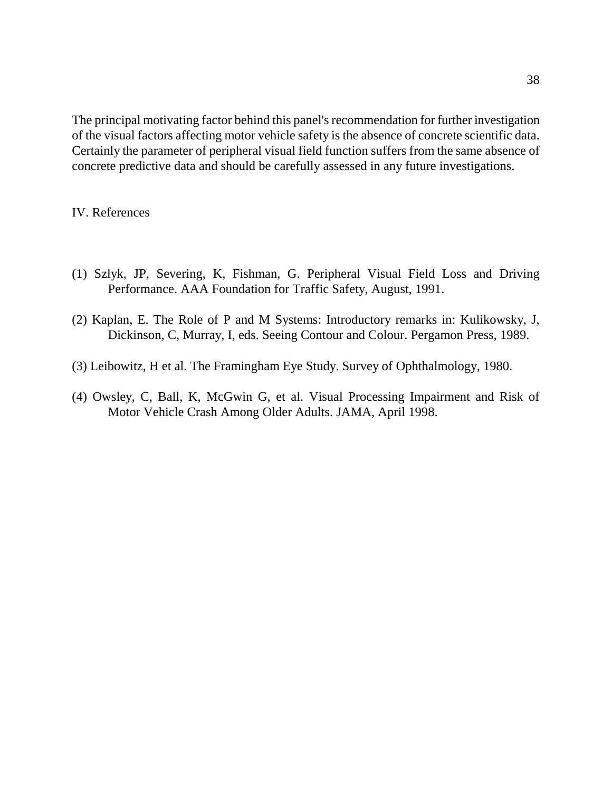The principal motivating factor behind this panel's recommendation for further investigation of the visual factors affecting motor vehicle safety is the absence of concrete scientific data. Certainly the parameter of peripheral visual field function suffers from the same absence of concrete predictive data and should be carefully assessed in any future investigations.

### IV. References

- (1) Szlyk, JP, Severing, K, Fishman, G. Peripheral Visual Field Loss and Driving Performance. AAA Foundation for Traffic Safety, August, 1991.
- (2) Kaplan, E. The Role of P and M Systems: Introductory remarks in: Kulikowsky, J, Dickinson, C, Murray, I, eds. Seeing Contour and Colour. Pergamon Press, 1989.
- (3) Leibowitz, H et al. The Framingham Eye Study. Survey of Ophthalmology, 1980.
- (4) Owsley, C, Ball, K, McGwin G, et al. Visual Processing Impairment and Risk of Motor Vehicle Crash Among Older Adults. JAMA, April 1998.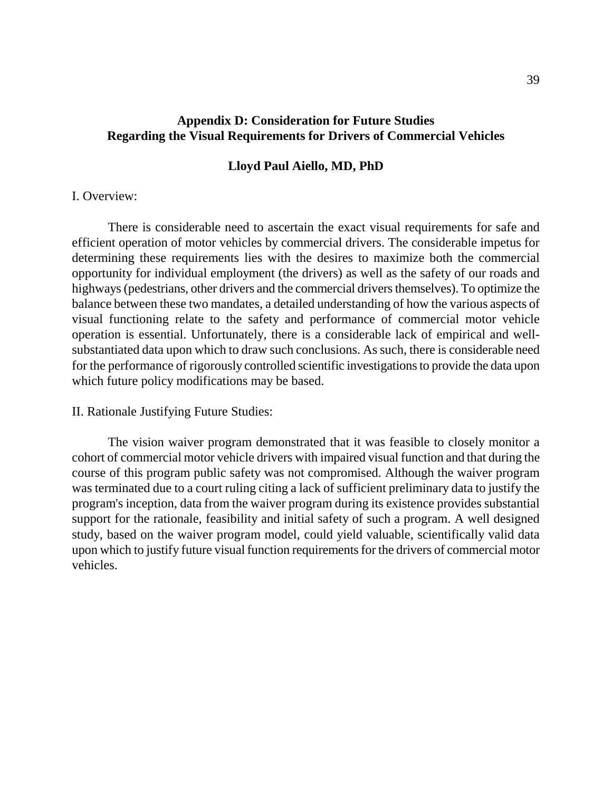## **Appendix D: Consideration for Future Studies Regarding the Visual Requirements for Drivers of Commercial Vehicles**

#### **Lloyd Paul Aiello, MD, PhD**

#### I. Overview:

There is considerable need to ascertain the exact visual requirements for safe and efficient operation of motor vehicles by commercial drivers. The considerable impetus for determining these requirements lies with the desires to maximize both the commercial opportunity for individual employment (the drivers) as well as the safety of our roads and highways (pedestrians, other drivers and the commercial drivers themselves). To optimize the balance between these two mandates, a detailed understanding of how the various aspects of visual functioning relate to the safety and performance of commercial motor vehicle operation is essential. Unfortunately, there is a considerable lack of empirical and wellsubstantiated data upon which to draw such conclusions. As such, there is considerable need for the performance of rigorously controlled scientific investigations to provide the data upon which future policy modifications may be based.

#### II. Rationale Justifying Future Studies:

The vision waiver program demonstrated that it was feasible to closely monitor a cohort of commercial motor vehicle drivers with impaired visual function and that during the course of this program public safety was not compromised. Although the waiver program was terminated due to a court ruling citing a lack of sufficient preliminary data to justify the program's inception, data from the waiver program during its existence provides substantial support for the rationale, feasibility and initial safety of such a program. A well designed study, based on the waiver program model, could yield valuable, scientifically valid data upon which to justify future visual function requirements for the drivers of commercial motor vehicles.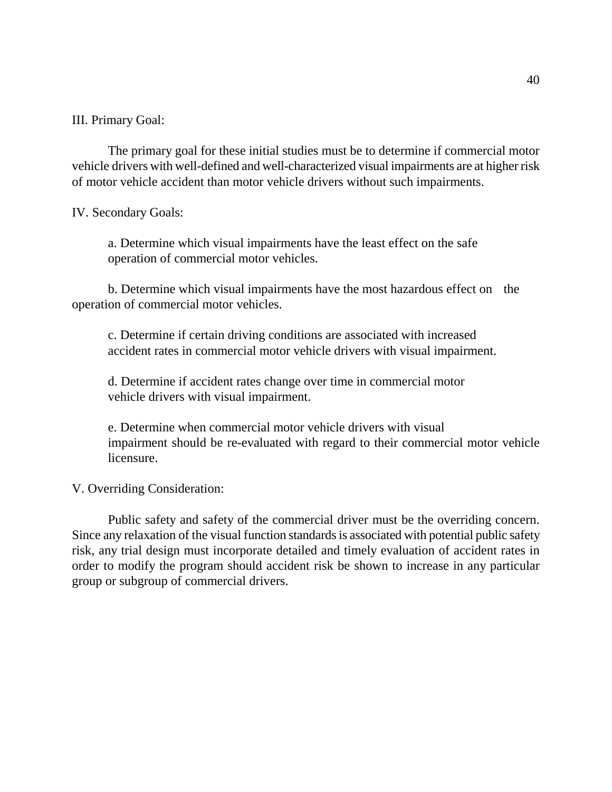III. Primary Goal:

The primary goal for these initial studies must be to determine if commercial motor vehicle drivers with well-defined and well-characterized visual impairments are at higher risk of motor vehicle accident than motor vehicle drivers without such impairments.

IV. Secondary Goals:

a. Determine which visual impairments have the least effect on the safe operation of commercial motor vehicles.

b. Determine which visual impairments have the most hazardous effect on the operation of commercial motor vehicles.

c. Determine if certain driving conditions are associated with increased accident rates in commercial motor vehicle drivers with visual impairment.

d. Determine if accident rates change over time in commercial motor vehicle drivers with visual impairment.

e. Determine when commercial motor vehicle drivers with visual impairment should be re-evaluated with regard to their commercial motor vehicle licensure.

V. Overriding Consideration:

Public safety and safety of the commercial driver must be the overriding concern. Since any relaxation of the visual function standards is associated with potential public safety risk, any trial design must incorporate detailed and timely evaluation of accident rates in order to modify the program should accident risk be shown to increase in any particular group or subgroup of commercial drivers.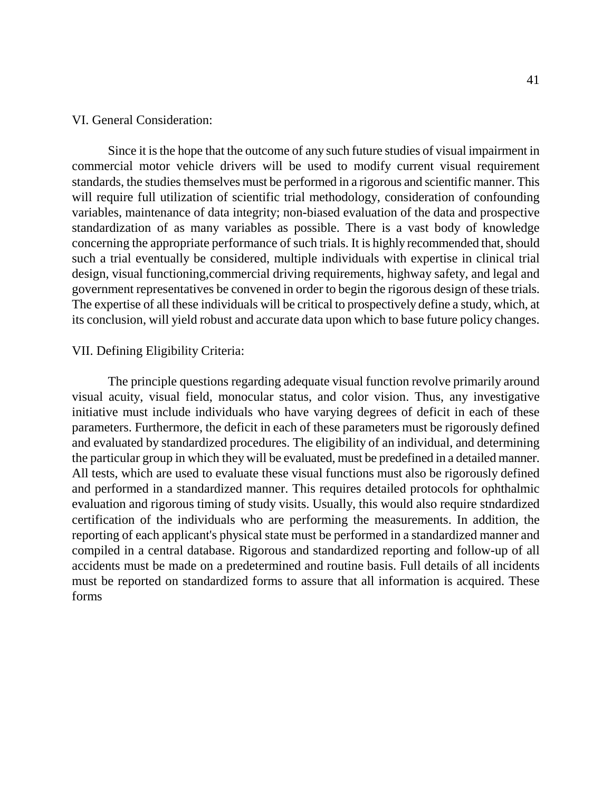#### VI. General Consideration:

Since it is the hope that the outcome of any such future studies of visual impairment in commercial motor vehicle drivers will be used to modify current visual requirement standards, the studies themselves must be performed in a rigorous and scientific manner. This will require full utilization of scientific trial methodology, consideration of confounding variables, maintenance of data integrity; non-biased evaluation of the data and prospective standardization of as many variables as possible. There is a vast body of knowledge concerning the appropriate performance of such trials. It is highly recommended that, should such a trial eventually be considered, multiple individuals with expertise in clinical trial design, visual functioning,commercial driving requirements, highway safety, and legal and government representatives be convened in order to begin the rigorous design of these trials. The expertise of all these individuals will be critical to prospectively define a study, which, at its conclusion, will yield robust and accurate data upon which to base future policy changes.

#### VII. Defining Eligibility Criteria:

The principle questions regarding adequate visual function revolve primarily around visual acuity, visual field, monocular status, and color vision. Thus, any investigative initiative must include individuals who have varying degrees of deficit in each of these parameters. Furthermore, the deficit in each of these parameters must be rigorously defined and evaluated by standardized procedures. The eligibility of an individual, and determining the particular group in which they will be evaluated, must be predefined in a detailed manner. All tests, which are used to evaluate these visual functions must also be rigorously defined and performed in a standardized manner. This requires detailed protocols for ophthalmic evaluation and rigorous timing of study visits. Usually, this would also require stndardized certification of the individuals who are performing the measurements. In addition, the reporting of each applicant's physical state must be performed in a standardized manner and compiled in a central database. Rigorous and standardized reporting and follow-up of all accidents must be made on a predetermined and routine basis. Full details of all incidents must be reported on standardized forms to assure that all information is acquired. These forms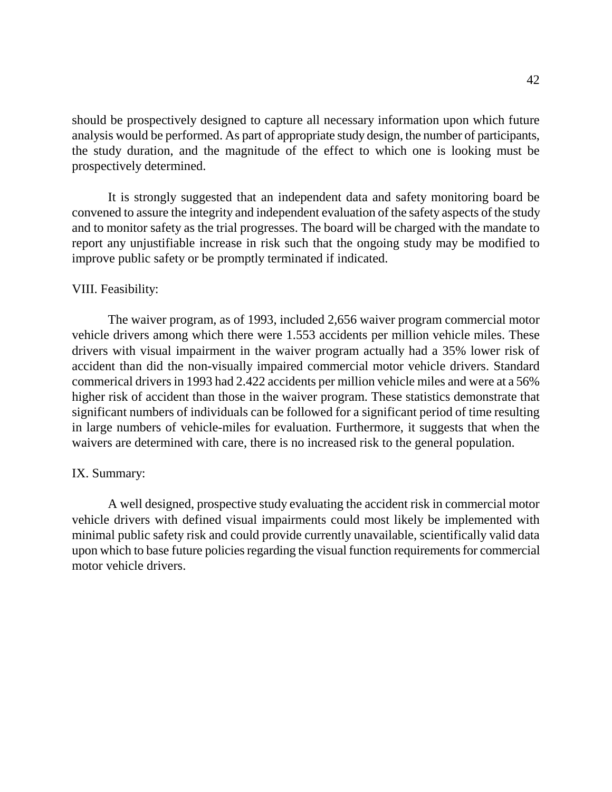should be prospectively designed to capture all necessary information upon which future analysis would be performed. As part of appropriate study design, the number of participants, the study duration, and the magnitude of the effect to which one is looking must be prospectively determined.

It is strongly suggested that an independent data and safety monitoring board be convened to assure the integrity and independent evaluation of the safety aspects of the study and to monitor safety as the trial progresses. The board will be charged with the mandate to report any unjustifiable increase in risk such that the ongoing study may be modified to improve public safety or be promptly terminated if indicated.

#### VIII. Feasibility:

The waiver program, as of 1993, included 2,656 waiver program commercial motor vehicle drivers among which there were 1.553 accidents per million vehicle miles. These drivers with visual impairment in the waiver program actually had a 35% lower risk of accident than did the non-visually impaired commercial motor vehicle drivers. Standard commerical drivers in 1993 had 2.422 accidents per million vehicle miles and were at a 56% higher risk of accident than those in the waiver program. These statistics demonstrate that significant numbers of individuals can be followed for a significant period of time resulting in large numbers of vehicle-miles for evaluation. Furthermore, it suggests that when the waivers are determined with care, there is no increased risk to the general population.

#### IX. Summary:

A well designed, prospective study evaluating the accident risk in commercial motor vehicle drivers with defined visual impairments could most likely be implemented with minimal public safety risk and could provide currently unavailable, scientifically valid data upon which to base future policies regarding the visual function requirements for commercial motor vehicle drivers.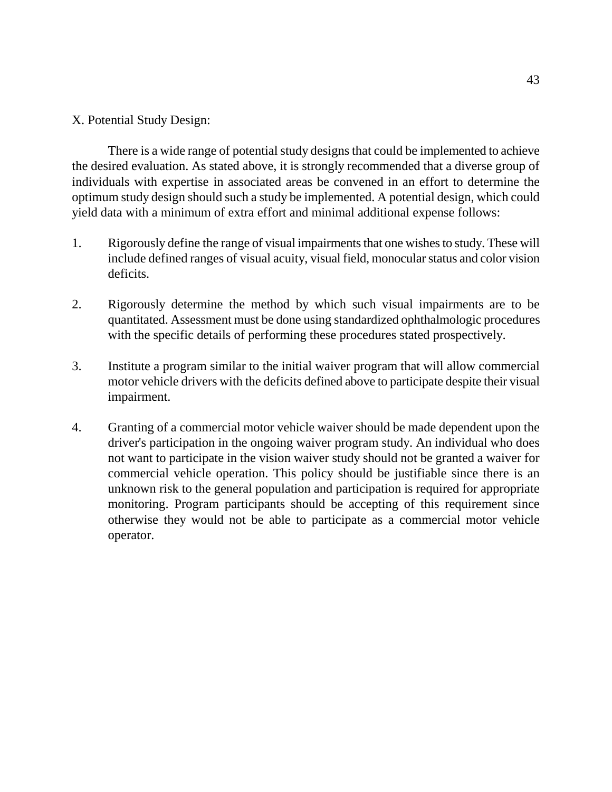## X. Potential Study Design:

There is a wide range of potential study designs that could be implemented to achieve the desired evaluation. As stated above, it is strongly recommended that a diverse group of individuals with expertise in associated areas be convened in an effort to determine the optimum study design should such a study be implemented. A potential design, which could yield data with a minimum of extra effort and minimal additional expense follows:

- 1. Rigorously define the range of visual impairments that one wishes to study. These will include defined ranges of visual acuity, visual field, monocular status and color vision deficits.
- 2. Rigorously determine the method by which such visual impairments are to be quantitated. Assessment must be done using standardized ophthalmologic procedures with the specific details of performing these procedures stated prospectively.
- 3. Institute a program similar to the initial waiver program that will allow commercial motor vehicle drivers with the deficits defined above to participate despite their visual impairment.
- 4. Granting of a commercial motor vehicle waiver should be made dependent upon the driver's participation in the ongoing waiver program study. An individual who does not want to participate in the vision waiver study should not be granted a waiver for commercial vehicle operation. This policy should be justifiable since there is an unknown risk to the general population and participation is required for appropriate monitoring. Program participants should be accepting of this requirement since otherwise they would not be able to participate as a commercial motor vehicle operator.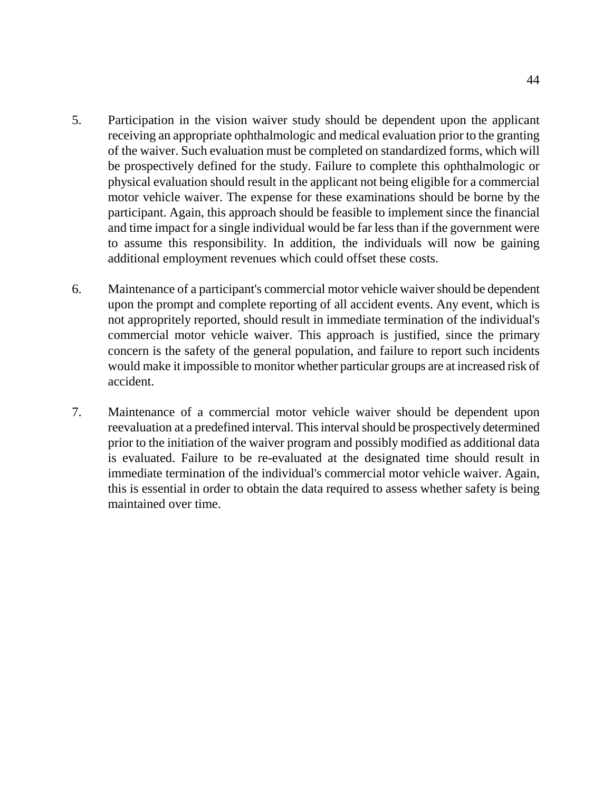- 5. Participation in the vision waiver study should be dependent upon the applicant receiving an appropriate ophthalmologic and medical evaluation prior to the granting of the waiver. Such evaluation must be completed on standardized forms, which will be prospectively defined for the study. Failure to complete this ophthalmologic or physical evaluation should result in the applicant not being eligible for a commercial motor vehicle waiver. The expense for these examinations should be borne by the participant. Again, this approach should be feasible to implement since the financial and time impact for a single individual would be far less than if the government were to assume this responsibility. In addition, the individuals will now be gaining additional employment revenues which could offset these costs.
- 6. Maintenance of a participant's commercial motor vehicle waiver should be dependent upon the prompt and complete reporting of all accident events. Any event, which is not appropritely reported, should result in immediate termination of the individual's commercial motor vehicle waiver. This approach is justified, since the primary concern is the safety of the general population, and failure to report such incidents would make it impossible to monitor whether particular groups are at increased risk of accident.
- 7. Maintenance of a commercial motor vehicle waiver should be dependent upon reevaluation at a predefined interval. This interval should be prospectively determined prior to the initiation of the waiver program and possibly modified as additional data is evaluated. Failure to be re-evaluated at the designated time should result in immediate termination of the individual's commercial motor vehicle waiver. Again, this is essential in order to obtain the data required to assess whether safety is being maintained over time.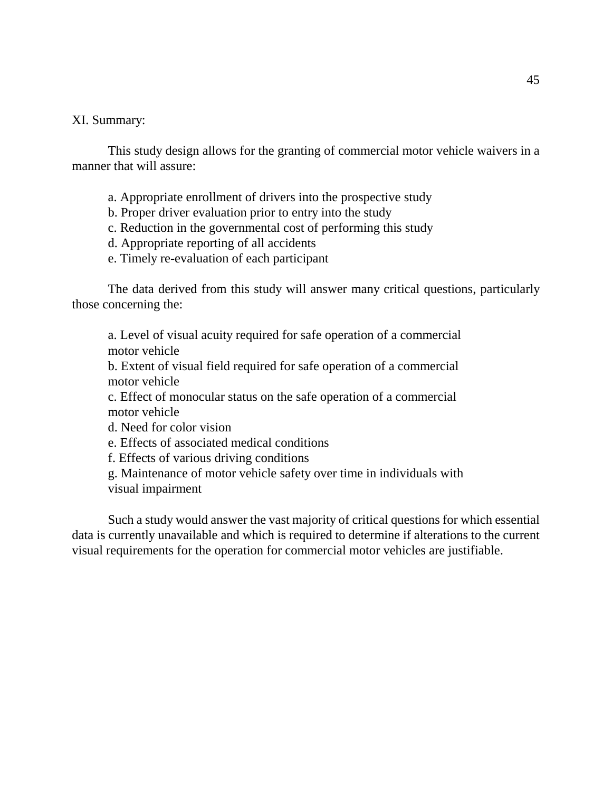#### XI. Summary:

This study design allows for the granting of commercial motor vehicle waivers in a manner that will assure:

- a. Appropriate enrollment of drivers into the prospective study
- b. Proper driver evaluation prior to entry into the study
- c. Reduction in the governmental cost of performing this study
- d. Appropriate reporting of all accidents
- e. Timely re-evaluation of each participant

The data derived from this study will answer many critical questions, particularly those concerning the:

a. Level of visual acuity required for safe operation of a commercial motor vehicle

b. Extent of visual field required for safe operation of a commercial motor vehicle

c. Effect of monocular status on the safe operation of a commercial motor vehicle

d. Need for color vision

e. Effects of associated medical conditions

f. Effects of various driving conditions

g. Maintenance of motor vehicle safety over time in individuals with visual impairment

Such a study would answer the vast majority of critical questions for which essential data is currently unavailable and which is required to determine if alterations to the current visual requirements for the operation for commercial motor vehicles are justifiable.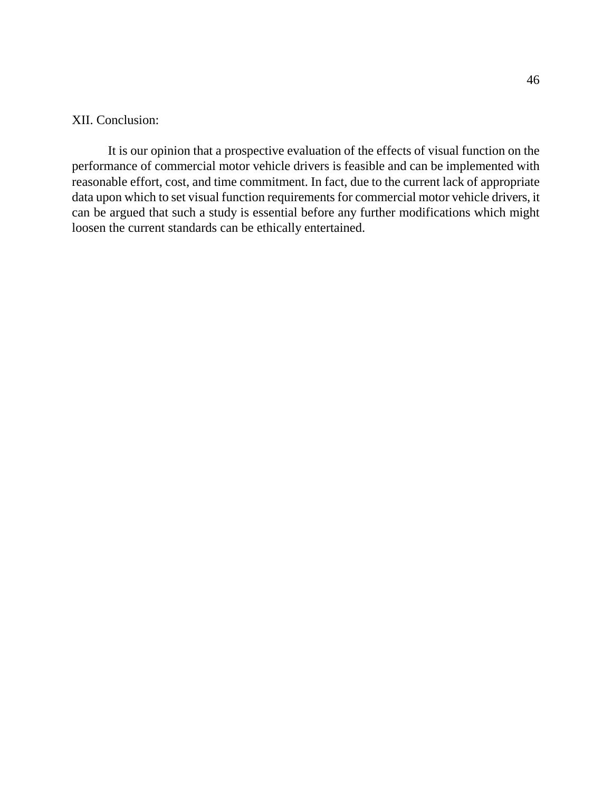#### XII. Conclusion:

It is our opinion that a prospective evaluation of the effects of visual function on the performance of commercial motor vehicle drivers is feasible and can be implemented with reasonable effort, cost, and time commitment. In fact, due to the current lack of appropriate data upon which to set visual function requirements for commercial motor vehicle drivers, it can be argued that such a study is essential before any further modifications which might loosen the current standards can be ethically entertained.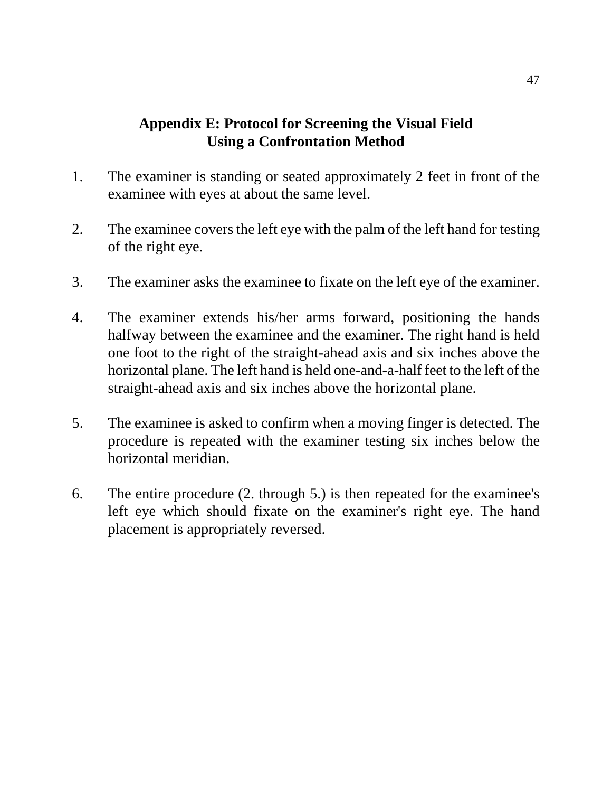# **Appendix E: Protocol for Screening the Visual Field Using a Confrontation Method**

- 1. The examiner is standing or seated approximately 2 feet in front of the examinee with eyes at about the same level.
- 2. The examinee covers the left eye with the palm of the left hand for testing of the right eye.
- 3. The examiner asks the examinee to fixate on the left eye of the examiner.
- 4. The examiner extends his/her arms forward, positioning the hands halfway between the examinee and the examiner. The right hand is held one foot to the right of the straight-ahead axis and six inches above the horizontal plane. The left hand is held one-and-a-half feet to the left of the straight-ahead axis and six inches above the horizontal plane.
- 5. The examinee is asked to confirm when a moving finger is detected. The procedure is repeated with the examiner testing six inches below the horizontal meridian.
- 6. The entire procedure (2. through 5.) is then repeated for the examinee's left eye which should fixate on the examiner's right eye. The hand placement is appropriately reversed.